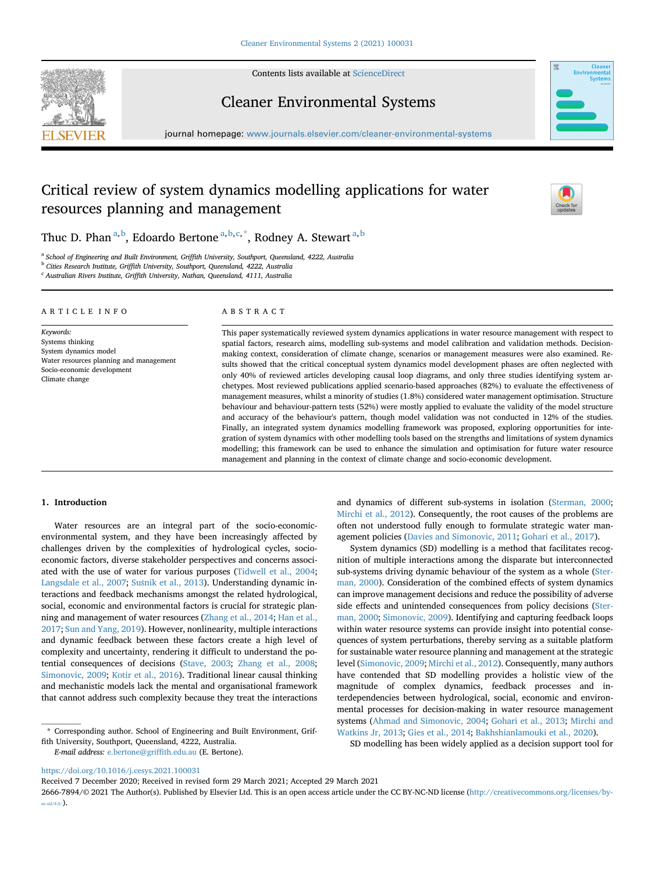

Contents lists available at [ScienceDirect](www.sciencedirect.com/science/journal/26667894)

# Cleaner Environmental Systems

journal homepage: <www.journals.elsevier.com/cleaner-environmental-systems>

# Critical review of system dynamics modelling applications for water resources planning and management



Thuc D. Phan<sup>[a,](#page-0-0)[b](#page-0-1)</sup>, Edo[a](#page-0-0)rdo Bertone<sup>a,[b,](#page-0-1)[c](#page-0-2),[\\*](#page-0-3)</sup>, Rodney A. Stewart<sup>a,b</sup>

<span id="page-0-0"></span><sup>a</sup> School of Engineering and Built Environment, Griffith University, Southport, Queensland, 4222, Australia

<span id="page-0-1"></span>**b** Cities Research Institute, Griffith University, Southport, Queensland, 4222, Australia

<span id="page-0-2"></span><sup>c</sup> Australian Rivers Institute, Griffith University, Nathan, Queensland, 4111, Australia

### ARTICLE INFO

Socio-economic development

Water resources planning and management

Keywords: Systems thinking System dynamics model

Climate change

ABSTRACT

This paper systematically reviewed system dynamics applications in water resource management with respect to spatial factors, research aims, modelling sub-systems and model calibration and validation methods. Decisionmaking context, consideration of climate change, scenarios or management measures were also examined. Results showed that the critical conceptual system dynamics model development phases are often neglected with only 40% of reviewed articles developing causal loop diagrams, and only three studies identifying system archetypes. Most reviewed publications applied scenario-based approaches (82%) to evaluate the effectiveness of management measures, whilst a minority of studies (1.8%) considered water management optimisation. Structure behaviour and behaviour-pattern tests (52%) were mostly applied to evaluate the validity of the model structure and accuracy of the behaviour's pattern, though model validation was not conducted in 12% of the studies. Finally, an integrated system dynamics modelling framework was proposed, exploring opportunities for integration of system dynamics with other modelling tools based on the strengths and limitations of system dynamics modelling; this framework can be used to enhance the simulation and optimisation for future water resource management and planning in the context of climate change and socio-economic development.

# 1. Introduction

Water resources are an integral part of the socio-economicenvironmental system, and they have been increasingly affected by challenges driven by the complexities of hydrological cycles, socioeconomic factors, diverse stakeholder perspectives and concerns associated with the use of water for various purposes ([Tidwell et al., 2004;](#page-13-0) [Langsdale et al., 2007;](#page-12-0) [Su](#page-13-1)šnik et al., 2013). Understanding dynamic interactions and feedback mechanisms amongst the related hydrological, social, economic and environmental factors is crucial for strategic planning and management of water resources ([Zhang et al., 2014;](#page-14-0) [Han et al.,](#page-12-1) [2017;](#page-12-1) [Sun and Yang, 2019](#page-13-2)). However, nonlinearity, multiple interactions and dynamic feedback between these factors create a high level of complexity and uncertainty, rendering it difficult to understand the potential consequences of decisions ([Stave, 2003;](#page-13-3) [Zhang et al., 2008;](#page-14-1) [Simonovic, 2009;](#page-13-4) [Kotir et al., 2016\)](#page-12-2). Traditional linear causal thinking and mechanistic models lack the mental and organisational framework that cannot address such complexity because they treat the interactions

fith University, Southport, Queensland, 4222, Australia. E-mail address: [e.bertone@grif](mailto:e.bertone@griffith.edu.au)fith.edu.au (E. Bertone).

and dynamics of different sub-systems in isolation [\(Sterman, 2000;](#page-13-5) [Mirchi et al., 2012\)](#page-12-3). Consequently, the root causes of the problems are often not understood fully enough to formulate strategic water management policies ([Davies and Simonovic, 2011](#page-11-0); [Gohari et al., 2017\)](#page-12-4).

System dynamics (SD) modelling is a method that facilitates recognition of multiple interactions among the disparate but interconnected sub-systems driving dynamic behaviour of the system as a whole [\(Ster](#page-13-5)[man, 2000](#page-13-5)). Consideration of the combined effects of system dynamics can improve management decisions and reduce the possibility of adverse side effects and unintended consequences from policy decisions [\(Ster](#page-13-5)[man, 2000](#page-13-5); [Simonovic, 2009](#page-13-4)). Identifying and capturing feedback loops within water resource systems can provide insight into potential consequences of system perturbations, thereby serving as a suitable platform for sustainable water resource planning and management at the strategic level ([Simonovic, 2009](#page-13-4); [Mirchi et al., 2012\)](#page-12-3). Consequently, many authors have contended that SD modelling provides a holistic view of the magnitude of complex dynamics, feedback processes and interdependencies between hydrological, social, economic and environmental processes for decision-making in water resource management systems [\(Ahmad and Simonovic, 2004;](#page-11-1) [Gohari et al., 2013](#page-12-5); [Mirchi and](#page-12-6) [Watkins Jr, 2013;](#page-12-6) [Gies et al., 2014](#page-12-7); [Bakhshianlamouki et al., 2020](#page-11-2)).

SD modelling has been widely applied as a decision support tool for

Received 7 December 2020; Received in revised form 29 March 2021; Accepted 29 March 2021

<span id="page-0-3"></span><sup>\*</sup> Corresponding author. School of Engineering and Built Environment, Grif-

<https://doi.org/10.1016/j.cesys.2021.100031>

<sup>2666-7894/</sup>© 2021 The Author(s). Published by Elsevier Ltd. This is an open access article under the CC BY-NC-ND license [\(http://creativecommons.org/licenses/by](http://creativecommons.org/licenses/by-nc-nd/4.0/) $nc-nd/4.0/$ ).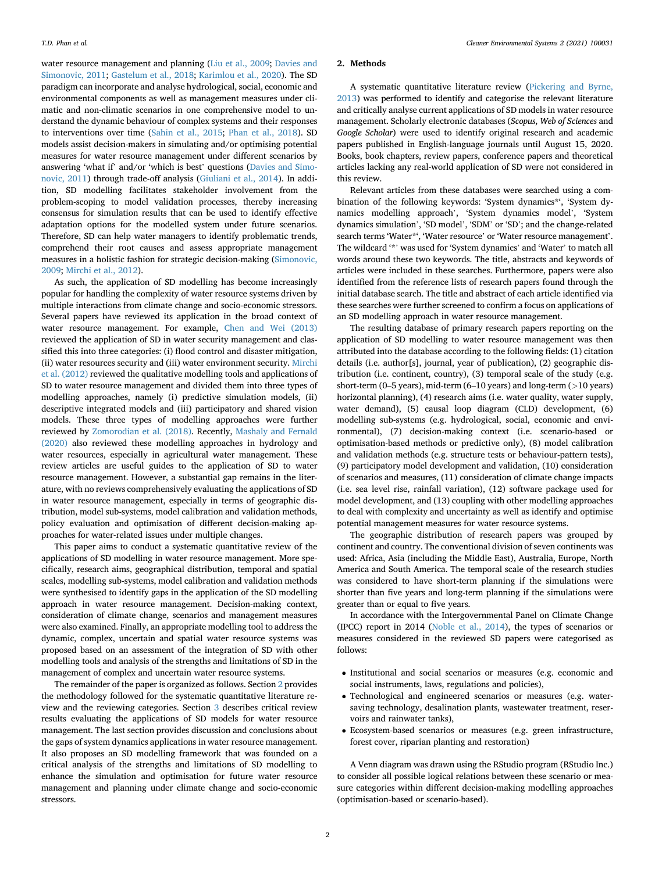water resource management and planning [\(Liu et al., 2009](#page-12-8); [Davies and](#page-11-0) [Simonovic, 2011;](#page-11-0) [Gastelum et al., 2018](#page-11-3); [Karimlou et al., 2020\)](#page-12-9). The SD paradigm can incorporate and analyse hydrological, social, economic and environmental components as well as management measures under climatic and non-climatic scenarios in one comprehensive model to understand the dynamic behaviour of complex systems and their responses to interventions over time ([Sahin et al., 2015;](#page-13-6) [Phan et al., 2018\)](#page-13-7). SD models assist decision-makers in simulating and/or optimising potential measures for water resource management under different scenarios by answering 'what if' and/or 'which is best' questions [\(Davies and Simo](#page-11-0)[novic, 2011](#page-11-0)) through trade-off analysis ([Giuliani et al., 2014](#page-12-10)). In addition, SD modelling facilitates stakeholder involvement from the problem-scoping to model validation processes, thereby increasing consensus for simulation results that can be used to identify effective adaptation options for the modelled system under future scenarios. Therefore, SD can help water managers to identify problematic trends, comprehend their root causes and assess appropriate management measures in a holistic fashion for strategic decision-making ([Simonovic,](#page-13-4) [2009;](#page-13-4) [Mirchi et al., 2012](#page-12-3)).

As such, the application of SD modelling has become increasingly popular for handling the complexity of water resource systems driven by multiple interactions from climate change and socio-economic stressors. Several papers have reviewed its application in the broad context of water resource management. For example, [Chen and Wei \(2013\)](#page-11-4) reviewed the application of SD in water security management and classified this into three categories: (i) flood control and disaster mitigation, (ii) water resources security and (iii) water environment security. [Mirchi](#page-12-3) [et al. \(2012\)](#page-12-3) reviewed the qualitative modelling tools and applications of SD to water resource management and divided them into three types of modelling approaches, namely (i) predictive simulation models, (ii) descriptive integrated models and (iii) participatory and shared vision models. These three types of modelling approaches were further reviewed by [Zomorodian et al. \(2018\)](#page-14-2). Recently, [Mashaly and Fernald](#page-12-11) [\(2020\)](#page-12-11) also reviewed these modelling approaches in hydrology and water resources, especially in agricultural water management. These review articles are useful guides to the application of SD to water resource management. However, a substantial gap remains in the literature, with no reviews comprehensively evaluating the applications of SD in water resource management, especially in terms of geographic distribution, model sub-systems, model calibration and validation methods, policy evaluation and optimisation of different decision-making approaches for water-related issues under multiple changes.

This paper aims to conduct a systematic quantitative review of the applications of SD modelling in water resource management. More specifically, research aims, geographical distribution, temporal and spatial scales, modelling sub-systems, model calibration and validation methods were synthesised to identify gaps in the application of the SD modelling approach in water resource management. Decision-making context, consideration of climate change, scenarios and management measures were also examined. Finally, an appropriate modelling tool to address the dynamic, complex, uncertain and spatial water resource systems was proposed based on an assessment of the integration of SD with other modelling tools and analysis of the strengths and limitations of SD in the management of complex and uncertain water resource systems.

The remainder of the paper is organized as follows. Section [2](#page-1-0) provides the methodology followed for the systematic quantitative literature review and the reviewing categories. Section [3](#page-2-0) describes critical review results evaluating the applications of SD models for water resource management. The last section provides discussion and conclusions about the gaps of system dynamics applications in water resource management. It also proposes an SD modelling framework that was founded on a critical analysis of the strengths and limitations of SD modelling to enhance the simulation and optimisation for future water resource management and planning under climate change and socio-economic stressors.

#### <span id="page-1-0"></span>2. Methods

A systematic quantitative literature review [\(Pickering and Byrne,](#page-13-8) [2013\)](#page-13-8) was performed to identify and categorise the relevant literature and critically analyse current applications of SD models in water resource management. Scholarly electronic databases (Scopus, Web of Sciences and Google Scholar) were used to identify original research and academic papers published in English-language journals until August 15, 2020. Books, book chapters, review papers, conference papers and theoretical articles lacking any real-world application of SD were not considered in this review.

Relevant articles from these databases were searched using a combination of the following keywords: 'System dynamics\*', 'System dynamics modelling approach', 'System dynamics model', 'System dynamics simulation', 'SD model', 'SDM' or 'SD'; and the change-related search terms 'Water\*', 'Water resource' or 'Water resource management'. The wildcard '\*' was used for 'System dynamics' and 'Water' to match all words around these two keywords. The title, abstracts and keywords of articles were included in these searches. Furthermore, papers were also identified from the reference lists of research papers found through the initial database search. The title and abstract of each article identified via these searches were further screened to confirm a focus on applications of an SD modelling approach in water resource management.

The resulting database of primary research papers reporting on the application of SD modelling to water resource management was then attributed into the database according to the following fields: (1) citation details (i.e. author[s], journal, year of publication), (2) geographic distribution (i.e. continent, country), (3) temporal scale of the study (e.g. short-term (0–5 years), mid-term (6–10 years) and long-term (>10 years) horizontal planning), (4) research aims (i.e. water quality, water supply, water demand), (5) causal loop diagram (CLD) development, (6) modelling sub-systems (e.g. hydrological, social, economic and environmental), (7) decision-making context (i.e. scenario-based or optimisation-based methods or predictive only), (8) model calibration and validation methods (e.g. structure tests or behaviour-pattern tests), (9) participatory model development and validation, (10) consideration of scenarios and measures, (11) consideration of climate change impacts (i.e. sea level rise, rainfall variation), (12) software package used for model development, and (13) coupling with other modelling approaches to deal with complexity and uncertainty as well as identify and optimise potential management measures for water resource systems.

The geographic distribution of research papers was grouped by continent and country. The conventional division of seven continents was used: Africa, Asia (including the Middle East), Australia, Europe, North America and South America. The temporal scale of the research studies was considered to have short-term planning if the simulations were shorter than five years and long-term planning if the simulations were greater than or equal to five years.

In accordance with the Intergovernmental Panel on Climate Change (IPCC) report in 2014 ([Noble et al., 2014](#page-13-9)), the types of scenarios or measures considered in the reviewed SD papers were categorised as follows:

- Institutional and social scenarios or measures (e.g. economic and social instruments, laws, regulations and policies),
- Technological and engineered scenarios or measures (e.g. watersaving technology, desalination plants, wastewater treatment, reservoirs and rainwater tanks),
- Ecosystem-based scenarios or measures (e.g. green infrastructure, forest cover, riparian planting and restoration)

A Venn diagram was drawn using the RStudio program (RStudio Inc.) to consider all possible logical relations between these scenario or measure categories within different decision-making modelling approaches (optimisation-based or scenario-based).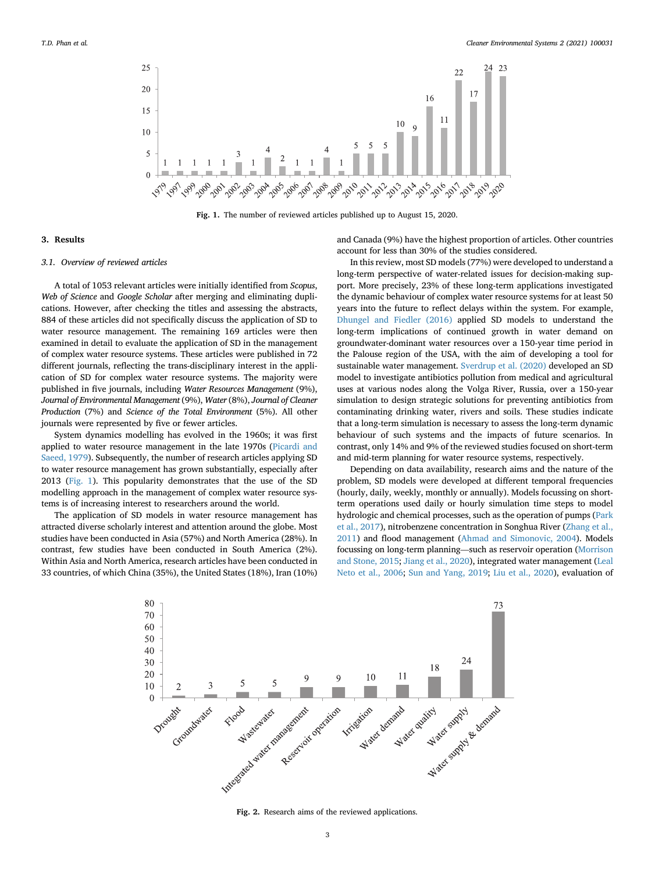<span id="page-2-1"></span>

Fig. 1. The number of reviewed articles published up to August 15, 2020.

#### <span id="page-2-0"></span>3. Results

### 3.1. Overview of reviewed articles

A total of 1053 relevant articles were initially identified from Scopus, Web of Science and Google Scholar after merging and eliminating duplications. However, after checking the titles and assessing the abstracts, 884 of these articles did not specifically discuss the application of SD to water resource management. The remaining 169 articles were then examined in detail to evaluate the application of SD in the management of complex water resource systems. These articles were published in 72 different journals, reflecting the trans-disciplinary interest in the application of SD for complex water resource systems. The majority were published in five journals, including Water Resources Management (9%), Journal of Environmental Management (9%), Water (8%), Journal of Cleaner Production (7%) and Science of the Total Environment (5%). All other journals were represented by five or fewer articles.

System dynamics modelling has evolved in the 1960s; it was first applied to water resource management in the late 1970s [\(Picardi and](#page-13-10) [Saeed, 1979\)](#page-13-10). Subsequently, the number of research articles applying SD to water resource management has grown substantially, especially after 2013 ([Fig. 1](#page-2-1)). This popularity demonstrates that the use of the SD modelling approach in the management of complex water resource systems is of increasing interest to researchers around the world.

<span id="page-2-2"></span>The application of SD models in water resource management has attracted diverse scholarly interest and attention around the globe. Most studies have been conducted in Asia (57%) and North America (28%). In contrast, few studies have been conducted in South America (2%). Within Asia and North America, research articles have been conducted in 33 countries, of which China (35%), the United States (18%), Iran (10%)

and Canada (9%) have the highest proportion of articles. Other countries account for less than 30% of the studies considered.

In this review, most SD models (77%) were developed to understand a long-term perspective of water-related issues for decision-making support. More precisely, 23% of these long-term applications investigated the dynamic behaviour of complex water resource systems for at least 50 years into the future to reflect delays within the system. For example, [Dhungel and Fiedler \(2016\)](#page-11-5) applied SD models to understand the long-term implications of continued growth in water demand on groundwater-dominant water resources over a 150-year time period in the Palouse region of the USA, with the aim of developing a tool for sustainable water management. [Sverdrup et al. \(2020\)](#page-13-11) developed an SD model to investigate antibiotics pollution from medical and agricultural uses at various nodes along the Volga River, Russia, over a 150-year simulation to design strategic solutions for preventing antibiotics from contaminating drinking water, rivers and soils. These studies indicate that a long-term simulation is necessary to assess the long-term dynamic behaviour of such systems and the impacts of future scenarios. In contrast, only 14% and 9% of the reviewed studies focused on short-term and mid-term planning for water resource systems, respectively.

Depending on data availability, research aims and the nature of the problem, SD models were developed at different temporal frequencies (hourly, daily, weekly, monthly or annually). Models focussing on shortterm operations used daily or hourly simulation time steps to model hydrologic and chemical processes, such as the operation of pumps ([Park](#page-13-12) [et al., 2017\)](#page-13-12), nitrobenzene concentration in Songhua River ([Zhang et al.,](#page-14-3) [2011\)](#page-14-3) and flood management ([Ahmad and Simonovic, 2004](#page-11-1)). Models focussing on long-term planning—such as reservoir operation ([Morrison](#page-12-12) [and Stone, 2015](#page-12-12); [Jiang et al., 2020\)](#page-12-13), integrated water management [\(Leal](#page-12-14) [Neto et al., 2006;](#page-12-14) [Sun and Yang, 2019;](#page-13-2) [Liu et al., 2020](#page-12-15)), evaluation of



Fig. 2. Research aims of the reviewed applications.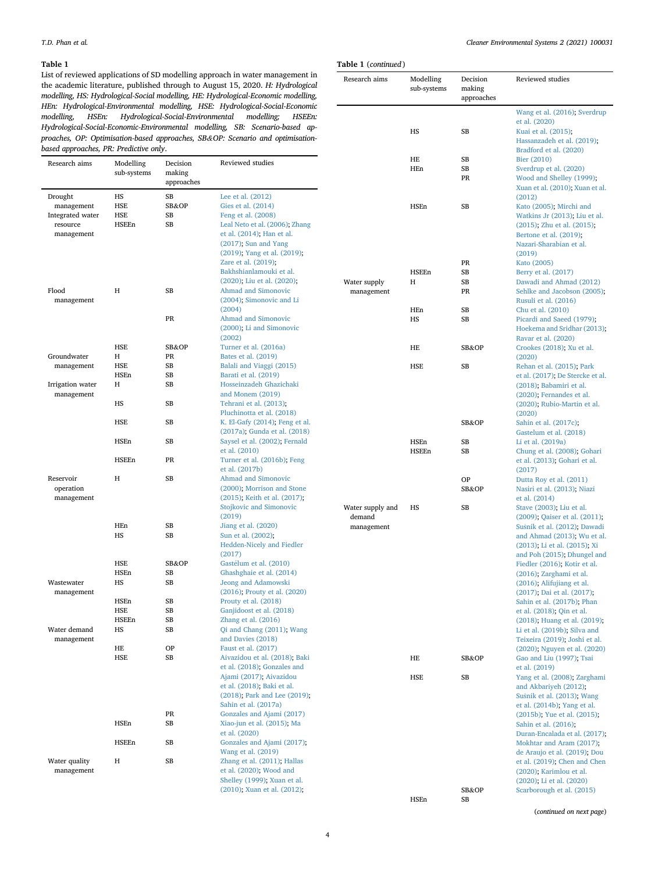# <span id="page-3-0"></span>Table 1

List of reviewed applications of SD modelling approach in water management in the academic literature, published through to August 15, 2020. H: Hydrological modelling, HS: Hydrological-Social modelling, HE: Hydrological-Economic modelling, HEn: Hydrological-Environmental modelling, HSE: Hydrological-Social-Economic modelling, HSEn: Hydrological-Social-Environmental modelling; HSEEn: Hydrological-Social-Economic-Environmental modelling, SB: Scenario-based approaches, OP: Optimisation-based approaches, SB&OP: Scenario and optimisationbased approaches, PR: Predictive only.

| Research aims                                                       | Modelling<br>sub-systems                                                                                             | Decision<br>making<br>approaches                              | Reviewed studies                                                                                                                                                                                              |                            | пв<br>HEn  |
|---------------------------------------------------------------------|----------------------------------------------------------------------------------------------------------------------|---------------------------------------------------------------|---------------------------------------------------------------------------------------------------------------------------------------------------------------------------------------------------------------|----------------------------|------------|
| Drought<br>management<br>Integrated water<br>resource<br>management | HS<br><b>HSE</b><br>HSE<br><b>HSEEn</b>                                                                              | SB<br>SB&OP<br>SB<br>SB                                       | Lee et al. (2012)<br>Gies et al. (2014)<br>Feng et al. (2008)<br>Leal Neto et al. (2006); Zhang<br>et al. (2014); Han et al.<br>$(2017)$ ; Sun and Yang<br>(2019); Yang et al. (2019);<br>Zare et al. (2019); |                            | HSEn       |
| Flood<br>management                                                 | Η                                                                                                                    | SB                                                            | Bakhshianlamouki et al.<br>(2020); Liu et al. (2020);<br>Ahmad and Simonovic<br>(2004); Simonovic and Li                                                                                                      | Water supply<br>management | HSEEn<br>Н |
|                                                                     |                                                                                                                      | PR                                                            | (2004)<br>Ahmad and Simonovic<br>(2000); Li and Simonovic<br>(2002)                                                                                                                                           |                            | HEn<br>HS  |
|                                                                     | HSE                                                                                                                  | SB&OP                                                         | Turner et al. (2016a)                                                                                                                                                                                         |                            | HE         |
| Groundwater                                                         | Н                                                                                                                    | PR                                                            | Bates et al. (2019)                                                                                                                                                                                           |                            |            |
| management                                                          | HSE                                                                                                                  | SB                                                            | Balali and Viaggi (2015)                                                                                                                                                                                      |                            | HSE        |
|                                                                     | HSEn                                                                                                                 | SB                                                            | Barati et al. (2019)                                                                                                                                                                                          |                            |            |
| Irrigation water<br>management                                      | Н                                                                                                                    | SB                                                            | Hosseinzadeh Ghazichaki<br>and Monem (2019)                                                                                                                                                                   |                            |            |
|                                                                     | HSE                                                                                                                  | SB                                                            | Pluchinotta et al. (2018)<br>K. El-Gafy (2014); Feng et al.                                                                                                                                                   |                            |            |
|                                                                     | HS<br>SB<br>Tehrani et al. (2013);<br><b>HSEn</b><br>SB<br>et al. (2010)<br>HSEEn<br>PR<br>et al. (2017b)<br>H<br>SB | (2017a); Gunda et al. (2018)<br>Saysel et al. (2002); Fernald |                                                                                                                                                                                                               | HSEn                       |            |
|                                                                     |                                                                                                                      |                                                               | Turner et al. (2016b); Feng                                                                                                                                                                                   |                            | HSEEn      |
| Reservoir<br>operation<br>management                                |                                                                                                                      |                                                               | Ahmad and Simonovic<br>(2000); Morrison and Stone<br>(2015); Keith et al. (2017);<br>Stojkovic and Simonovic                                                                                                  | Water supply and           | HS         |
|                                                                     |                                                                                                                      |                                                               | (2019)                                                                                                                                                                                                        | demand                     |            |
|                                                                     | HEn<br>HS                                                                                                            | SB<br>SB                                                      | Jiang et al. (2020)<br>Sun et al. (2002);<br><b>Hedden-Nicely and Fiedler</b><br>(2017)                                                                                                                       | management                 |            |
|                                                                     | HSE                                                                                                                  | SB&OP                                                         | Gastélum et al. (2010)                                                                                                                                                                                        |                            |            |
| Wastewater                                                          | HSEn<br>HS                                                                                                           | SB<br>SB                                                      | Ghashghaie et al. (2014)<br>Jeong and Adamowski                                                                                                                                                               |                            |            |
| management                                                          | HSEn                                                                                                                 | SB                                                            | $(2016)$ ; Prouty et al. $(2020)$<br>Prouty et al. (2018)                                                                                                                                                     |                            |            |
|                                                                     | HSE                                                                                                                  | SB                                                            | Ganjidoost et al. (2018)                                                                                                                                                                                      |                            |            |
|                                                                     | HSEEn                                                                                                                | SB                                                            | Zhang et al. $(2016)$                                                                                                                                                                                         |                            |            |
| Water demand<br>management                                          | HS                                                                                                                   | SВ                                                            | Qi and Chang (2011); Wang<br>and Davies (2018)                                                                                                                                                                |                            |            |
|                                                                     | HE                                                                                                                   | <b>OP</b>                                                     | Faust et al. (2017)                                                                                                                                                                                           |                            |            |
|                                                                     | HSE                                                                                                                  | SB                                                            | Aivazidou et al. (2018); Baki<br>et al. (2018); Gonzales and<br>Ajami (2017); Aivazidou                                                                                                                       |                            | HE<br>HSE  |
|                                                                     |                                                                                                                      |                                                               | et al. (2018); Baki et al.<br>(2018); Park and Lee (2019);<br>Sahin et al. (2017a)                                                                                                                            |                            |            |
|                                                                     |                                                                                                                      | PR                                                            | Gonzales and Ajami (2017)                                                                                                                                                                                     |                            |            |
|                                                                     | HSEn                                                                                                                 | SВ                                                            | Xiao-jun et al. (2015); Ma<br>et al. (2020)                                                                                                                                                                   |                            |            |
|                                                                     | HSEEn                                                                                                                | SB                                                            | Gonzales and Ajami (2017);<br>Wang et al. (2019)                                                                                                                                                              |                            |            |
| Water quality<br>management                                         | H                                                                                                                    | SB                                                            | Zhang et al. (2011); Hallas<br>et al. (2020); Wood and<br>Shelley (1999); Xuan et al.                                                                                                                         |                            |            |
|                                                                     |                                                                                                                      |                                                               | (2010); Xuan et al. (2012);                                                                                                                                                                                   |                            |            |

Table 1 (continued Research aims

| Modelling<br>sub-systems | Decision<br>making | Reviewed studies                                         |
|--------------------------|--------------------|----------------------------------------------------------|
|                          | approaches         |                                                          |
|                          |                    | Wang et al. (2016); Sverdrup                             |
|                          |                    | et al. (2020)                                            |
| HS                       | SВ                 | Kuai et al. (2015);                                      |
|                          |                    | Hassanzadeh et al. (2019);                               |
|                          |                    | Bradford et al. (2020)                                   |
| HE<br>HEn                | SB<br>SB           | Bier (2010)<br>Sverdrup et al. (2020)                    |
|                          | <b>PR</b>          | Wood and Shelley (1999);                                 |
|                          |                    | Xuan et al. (2010); Xuan et al.                          |
| HSEn                     | <b>SB</b>          | (2012)                                                   |
|                          |                    | Kato (2005); Mirchi and<br>Watkins Jr (2013); Liu et al. |
|                          |                    | (2015); Zhu et al. (2015);                               |
|                          |                    | Bertone et al. (2019);                                   |
|                          |                    | Nazari-Sharabian et al.                                  |
|                          |                    | (2019)                                                   |
|                          | PR                 | Kato (2005)                                              |
| HSEEn                    | SB                 | Berry et al. (2017)                                      |
| Н                        | SB                 | Dawadi and Ahmad (2012)                                  |
|                          | PR                 | Sehlke and Jacobson (2005);                              |
|                          |                    | Rusuli et al. (2016)                                     |
| HEn                      | SB                 | Chu et al. (2010)                                        |
| HS                       | SB                 | Picardi and Saeed (1979);                                |
|                          |                    | Hoekema and Sridhar (2013);                              |
|                          |                    | Ravar et al. (2020)                                      |
| HE                       | SB&OP              | Crookes (2018); Xu et al.<br>(2020)                      |
| <b>HSE</b>               | SB                 | Rehan et al. (2015); Park                                |
|                          |                    | et al. (2017); De Stercke et al.                         |
|                          |                    | (2018); Babamiri et al.                                  |
|                          |                    | (2020); Fernandes et al.                                 |
|                          |                    | (2020); Rubio-Martin et al.                              |
|                          |                    | (2020)                                                   |
|                          | SB&OP              | Sahin et al. (2017c);                                    |
|                          |                    | Gastelum et al. (2018)                                   |
| HSEn                     | <b>SB</b>          | Li et al. (2019a)                                        |
| HSEEn                    | SB                 | Chung et al. (2008); Gohari                              |
|                          |                    | et al. (2013); Gohari et al.                             |
|                          |                    | (2017)                                                   |
|                          | ΟP<br>SB&OP        | Dutta Roy et al. (2011)                                  |
|                          |                    | Nasiri et al. (2013); Niazi<br>et al. (2014)             |
| HS                       | <b>SB</b>          | Stave (2003); Liu et al.                                 |
|                          |                    | (2009); Qaiser et al. (2011);                            |
|                          |                    | Sušnik et al. (2012); Dawadi                             |
|                          |                    | and Ahmad (2013); Wu et al.                              |
|                          |                    | (2013); Li et al. (2015); Xi                             |
|                          |                    | and Poh (2015); Dhungel and                              |
|                          |                    | Fiedler (2016); Kotir et al.                             |
|                          |                    | (2016); Zarghami et al.                                  |
|                          |                    | (2016); Alifujiang et al.                                |
|                          |                    | (2017); Dai et al. (2017);                               |
|                          |                    | Sahin et al. (2017b); Phan<br>et al. (2018); Qin et al.  |
|                          |                    | (2018); Huang et al. (2019);                             |
|                          |                    | Li et al. (2019b); Silva and                             |
|                          |                    | Teixeira (2019); Joshi et al.                            |
|                          |                    | (2020); Nguyen et al. (2020)                             |
| HE                       | SB&OP              | Gao and Liu (1997); Tsai                                 |
|                          |                    | et al. (2019)                                            |
| HSE                      | SB                 | Yang et al. (2008); Zarghami                             |
|                          |                    | and Akbariyeh (2012);                                    |
|                          |                    | Sušnik et al. (2013); Wang                               |
|                          |                    | et al. (2014b); Yang et al.                              |
|                          |                    | (2015b); Yue et al. (2015);                              |
|                          |                    | Sahin et al. (2016);<br>Duran-Encalada et al. (2017);    |
|                          |                    | Mokhtar and Aram (2017);                                 |
|                          |                    | de Araujo et al. (2019); Dou                             |
|                          |                    | et al. (2019); Chen and Chen                             |
|                          |                    | (2020); Karimlou et al.                                  |
|                          |                    | (2020); Li et al. (2020)                                 |
|                          | SB&OP              | Scarborough et al. (2015)                                |
| HSEn                     | SB                 |                                                          |

(continued on next page)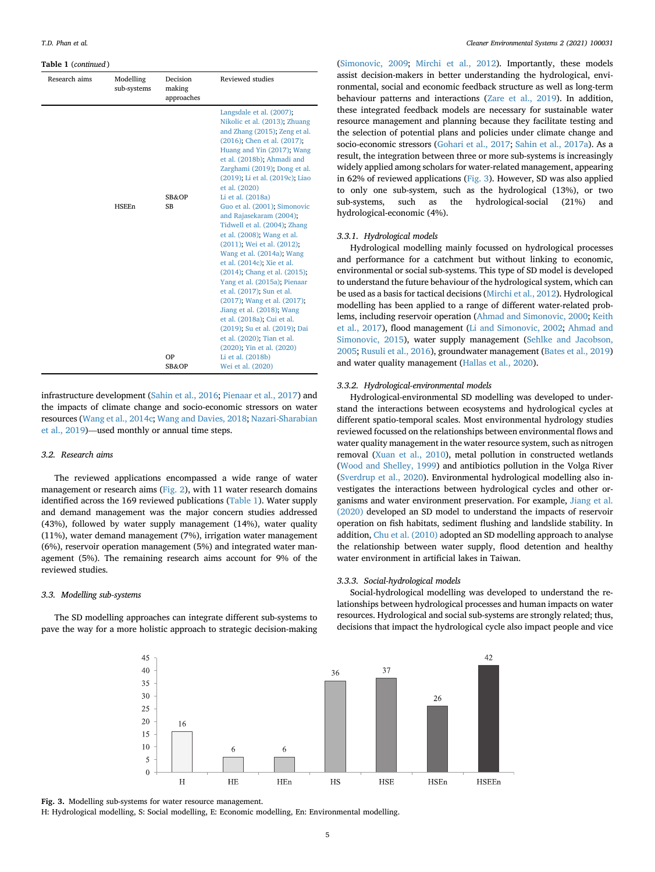#### Table 1 (continued )

| Research aims | Modelling<br>sub-systems | Decision<br>making<br>approaches | Reviewed studies                                                                                                                                                                                                                                                                                                                                                                                                                                                                                                                                                                                                                                                                                                                                                                                                         |
|---------------|--------------------------|----------------------------------|--------------------------------------------------------------------------------------------------------------------------------------------------------------------------------------------------------------------------------------------------------------------------------------------------------------------------------------------------------------------------------------------------------------------------------------------------------------------------------------------------------------------------------------------------------------------------------------------------------------------------------------------------------------------------------------------------------------------------------------------------------------------------------------------------------------------------|
|               | <b>HSEEn</b>             | SB&OP<br><b>SB</b><br>OP         | Langsdale et al. (2007);<br>Nikolic et al. (2013); Zhuang<br>and Zhang (2015); Zeng et al.<br>(2016); Chen et al. (2017);<br>Huang and Yin (2017); Wang<br>et al. (2018b); Ahmadi and<br>Zarghami (2019); Dong et al.<br>(2019): Li et al. (2019c); Liao<br>et al. (2020)<br>Li et al. (2018a)<br>Guo et al. (2001); Simonovic<br>and Rajasekaram (2004);<br>Tidwell et al. (2004); Zhang<br>et al. (2008); Wang et al.<br>(2011); Wei et al. (2012);<br>Wang et al. (2014a); Wang<br>et al. (2014c); Xie et al.<br>(2014); Chang et al. (2015);<br>Yang et al. (2015a); Pienaar<br>et al. (2017); Sun et al.<br>(2017); Wang et al. (2017);<br>Jiang et al. (2018); Wang<br>et al. (2018a); Cui et al.<br>(2019); Su et al. (2019); Dai<br>et al. (2020); Tian et al.<br>(2020); Yin et al. (2020)<br>Li et al. (2018b) |
|               |                          | SB&OP                            | Wei et al. (2020)                                                                                                                                                                                                                                                                                                                                                                                                                                                                                                                                                                                                                                                                                                                                                                                                        |

infrastructure development ([Sahin et al., 2016;](#page-13-42) [Pienaar et al., 2017\)](#page-13-44) and the impacts of climate change and socio-economic stressors on water resources [\(Wang et al., 2014c](#page-14-23); [Wang and Davies, 2018;](#page-14-7) [Nazari-Sharabian](#page-13-27) [et al., 2019](#page-13-27))—used monthly or annual time steps.

#### 3.2. Research aims

The reviewed applications encompassed a wide range of water management or research aims [\(Fig. 2\)](#page-2-2), with 11 water research domains identified across the 169 reviewed publications ([Table 1\)](#page-3-0). Water supply and demand management was the major concern studies addressed (43%), followed by water supply management (14%), water quality (11%), water demand management (7%), irrigation water management (6%), reservoir operation management (5%) and integrated water management (5%). The remaining research aims account for 9% of the reviewed studies.

### 3.3. Modelling sub-systems

<span id="page-4-0"></span>The SD modelling approaches can integrate different sub-systems to pave the way for a more holistic approach to strategic decision-making

([Simonovic, 2009](#page-13-4); [Mirchi et al., 2012](#page-12-3)). Importantly, these models assist decision-makers in better understanding the hydrological, environmental, social and economic feedback structure as well as long-term behaviour patterns and interactions [\(Zare et al., 2019](#page-14-5)). In addition, these integrated feedback models are necessary for sustainable water resource management and planning because they facilitate testing and the selection of potential plans and policies under climate change and socio-economic stressors ([Gohari et al., 2017](#page-12-4); [Sahin et al., 2017a](#page-13-25)). As a result, the integration between three or more sub-systems is increasingly widely applied among scholars for water-related management, appearing in 62% of reviewed applications ([Fig. 3\)](#page-4-0). However, SD was also applied to only one sub-system, such as the hydrological (13%), or two sub-systems, such as the hydrological-social (21%) and hydrological-economic (4%).

# 3.3.1. Hydrological models

Hydrological modelling mainly focussed on hydrological processes and performance for a catchment but without linking to economic, environmental or social sub-systems. This type of SD model is developed to understand the future behaviour of the hydrological system, which can be used as a basis for tactical decisions ([Mirchi et al., 2012\)](#page-12-3). Hydrological modelling has been applied to a range of different water-related problems, including reservoir operation ([Ahmad and Simonovic, 2000;](#page-11-7) [Keith](#page-12-21) [et al., 2017](#page-12-21)), flood management [\(Li and Simonovic, 2002;](#page-12-17) [Ahmad and](#page-11-39) [Simonovic, 2015](#page-11-39)), water supply management [\(Sehlke and Jacobson,](#page-13-28) [2005;](#page-13-28) [Rusuli et al., 2016\)](#page-13-29), groundwater management [\(Bates et al., 2019\)](#page-11-8) and water quality management ([Hallas et al., 2020\)](#page-12-27).

#### 3.3.2. Hydrological-environmental models

Hydrological-environmental SD modelling was developed to understand the interactions between ecosystems and hydrological cycles at different spatio-temporal scales. Most environmental hydrology studies reviewed focussed on the relationships between environmental flows and water quality management in the water resource system, such as nitrogen removal ([Xuan et al., 2010](#page-14-11)), metal pollution in constructed wetlands ([Wood and Shelley, 1999\)](#page-14-10) and antibiotics pollution in the Volga River ([Sverdrup et al., 2020\)](#page-13-11). Environmental hydrological modelling also investigates the interactions between hydrological cycles and other organisms and water environment preservation. For example, [Jiang et al.](#page-12-13) [\(2020\)](#page-12-13) developed an SD model to understand the impacts of reservoir operation on fish habitats, sediment flushing and landslide stability. In addition, [Chu et al. \(2010\)](#page-11-24) adopted an SD modelling approach to analyse the relationship between water supply, flood detention and healthy water environment in artificial lakes in Taiwan.

# 3.3.3. Social-hydrological models

Social-hydrological modelling was developed to understand the relationships between hydrological processes and human impacts on water resources. Hydrological and social sub-systems are strongly related; thus, decisions that impact the hydrological cycle also impact people and vice



Fig. 3. Modelling sub-systems for water resource management.

H: Hydrological modelling, S: Social modelling, E: Economic modelling, En: Environmental modelling.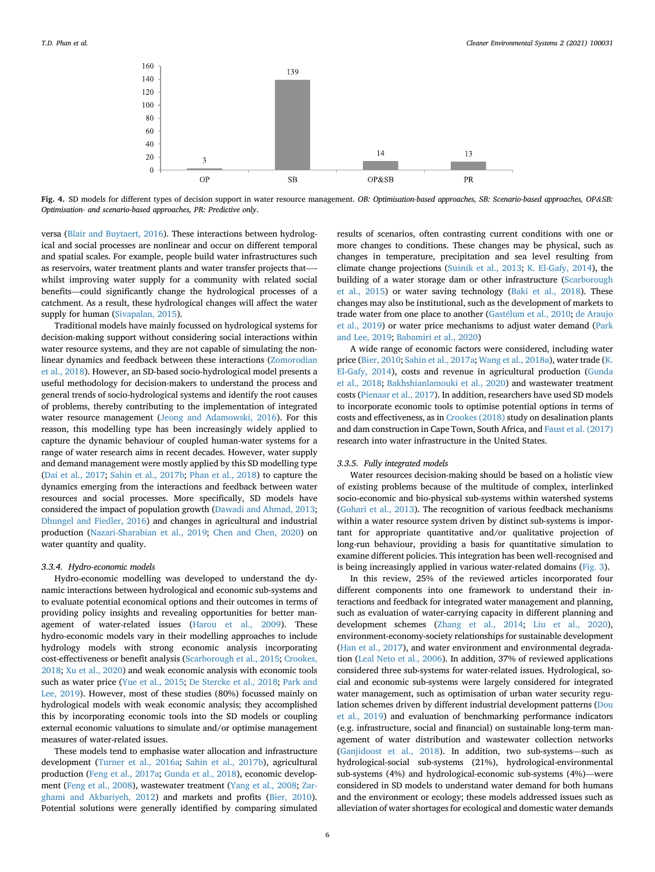<span id="page-5-0"></span>

Fig. 4. SD models for different types of decision support in water resource management. OB: Optimisation-based approaches, SB: Scenario-based approaches, OP&SB: Optimisation- and scenario-based approaches, PR: Predictive only.

versa [\(Blair and Buytaert, 2016\)](#page-11-46). These interactions between hydrological and social processes are nonlinear and occur on different temporal and spatial scales. For example, people build water infrastructures such as reservoirs, water treatment plants and water transfer projects that— whilst improving water supply for a community with related social benefits—could significantly change the hydrological processes of a catchment. As a result, these hydrological changes will affect the water supply for human ([Sivapalan, 2015\)](#page-13-51).

Traditional models have mainly focussed on hydrological systems for decision-making support without considering social interactions within water resource systems, and they are not capable of simulating the nonlinear dynamics and feedback between these interactions [\(Zomorodian](#page-14-2) [et al., 2018\)](#page-14-2). However, an SD-based socio-hydrological model presents a useful methodology for decision-makers to understand the process and general trends of socio-hydrological systems and identify the root causes of problems, thereby contributing to the implementation of integrated water resource management [\(Jeong and Adamowski, 2016\)](#page-12-24). For this reason, this modelling type has been increasingly widely applied to capture the dynamic behaviour of coupled human-water systems for a range of water research aims in recent decades. However, water supply and demand management were mostly applied by this SD modelling type ([Dai et al., 2017;](#page-11-33) [Sahin et al., 2017b;](#page-13-37) [Phan et al., 2018](#page-13-7)) to capture the dynamics emerging from the interactions and feedback between water resources and social processes. More specifically, SD models have considered the impact of population growth ([Dawadi and Ahmad, 2013;](#page-11-31) [Dhungel and Fiedler, 2016](#page-11-5)) and changes in agricultural and industrial production [\(Nazari-Sharabian et al., 2019](#page-13-27); [Chen and Chen, 2020](#page-11-38)) on water quantity and quality.

# 3.3.4. Hydro-economic models

Hydro-economic modelling was developed to understand the dynamic interactions between hydrological and economic sub-systems and to evaluate potential economical options and their outcomes in terms of providing policy insights and revealing opportunities for better management of water-related issues [\(Harou et al., 2009\)](#page-12-48). These hydro-economic models vary in their modelling approaches to include hydrology models with strong economic analysis incorporating cost-effectiveness or benefit analysis ([Scarborough et al., 2015](#page-13-43); [Crookes,](#page-11-25) [2018;](#page-11-25) [Xu et al., 2020](#page-14-14)) and weak economic analysis with economic tools such as water price [\(Yue et al., 2015](#page-14-22); [De Stercke et al., 2018;](#page-11-26) [Park and](#page-13-24) [Lee, 2019\)](#page-13-24). However, most of these studies (80%) focussed mainly on hydrological models with weak economic analysis; they accomplished this by incorporating economic tools into the SD models or coupling external economic valuations to simulate and/or optimise management measures of water-related issues.

These models tend to emphasise water allocation and infrastructure development [\(Turner et al., 2016a](#page-13-14); [Sahin et al., 2017b](#page-13-37)), agricultural production [\(Feng et al., 2017a;](#page-11-11) [Gunda et al., 2018](#page-12-20)), economic development ([Feng et al., 2008](#page-11-6)), wastewater treatment ([Yang et al., 2008;](#page-14-18) [Zar](#page-14-19)[ghami and Akbariyeh, 2012](#page-14-19)) and markets and profits [\(Bier, 2010\)](#page-11-20). Potential solutions were generally identified by comparing simulated

results of scenarios, often contrasting current conditions with one or more changes to conditions. These changes may be physical, such as changes in temperature, precipitation and sea level resulting from climate change projections ([Su](#page-13-1)[snik et al., 2013](#page-13-1); [K. El-Gafy, 2014](#page-12-19)), the building of a water storage dam or other infrastructure ([Scarborough](#page-13-43) [et al., 2015](#page-13-43)) or water saving technology [\(Baki et al., 2018](#page-11-18)). These changes may also be institutional, such as the development of markets to trade water from one place to another ([Gast](#page-11-14)e[lum et al., 2010](#page-11-14); [de Araujo](#page-11-36) [et al., 2019](#page-11-36)) or water price mechanisms to adjust water demand ([Park](#page-13-24) [and Lee, 2019](#page-13-24); [Babamiri et al., 2020\)](#page-11-27)

A wide range of economic factors were considered, including water price ([Bier, 2010](#page-11-20); [Sahin et al., 2017a;](#page-13-25) [Wang et al., 2018a\)](#page-14-32), water trade [\(K.](#page-12-19) [El-Gafy, 2014](#page-12-19)), costs and revenue in agricultural production ([Gunda](#page-12-20) [et al., 2018](#page-12-20); [Bakhshianlamouki et al., 2020\)](#page-11-2) and wastewater treatment costs [\(Pienaar et al., 2017](#page-13-44)). In addition, researchers have used SD models to incorporate economic tools to optimise potential options in terms of costs and effectiveness, as in [Crookes \(2018\)](#page-11-25) study on desalination plants and dam construction in Cape Town, South Africa, and [Faust et al. \(2017\)](#page-11-16) research into water infrastructure in the United States.

#### 3.3.5. Fully integrated models

Water resources decision-making should be based on a holistic view of existing problems because of the multitude of complex, interlinked socio-economic and bio-physical sub-systems within watershed systems ([Gohari et al., 2013\)](#page-12-5). The recognition of various feedback mechanisms within a water resource system driven by distinct sub-systems is important for appropriate quantitative and/or qualitative projection of long-run behaviour, providing a basis for quantitative simulation to examine different policies. This integration has been well-recognised and is being increasingly applied in various water-related domains ([Fig. 3\)](#page-4-0).

In this review, 25% of the reviewed articles incorporated four different components into one framework to understand their interactions and feedback for integrated water management and planning, such as evaluation of water-carrying capacity in different planning and development schemes ([Zhang et al., 2014;](#page-14-0) [Liu et al., 2020\)](#page-12-15), environment-economy-society relationships for sustainable development ([Han et al., 2017](#page-12-1)), and water environment and environmental degradation ([Leal Neto et al., 2006](#page-12-14)). In addition, 37% of reviewed applications considered three sub-systems for water-related issues. Hydrological, social and economic sub-systems were largely considered for integrated water management, such as optimisation of urban water security regulation schemes driven by different industrial development patterns [\(Dou](#page-11-37) [et al., 2019\)](#page-11-37) and evaluation of benchmarking performance indicators (e.g. infrastructure, social and financial) on sustainable long-term management of water distribution and wastewater collection networks ([Ganjidoost et al., 2018\)](#page-11-15). In addition, two sub-systems—such as hydrological-social sub-systems (21%), hydrological-environmental sub-systems (4%) and hydrological-economic sub-systems (4%)—were considered in SD models to understand water demand for both humans and the environment or ecology; these models addressed issues such as alleviation of water shortages for ecological and domestic water demands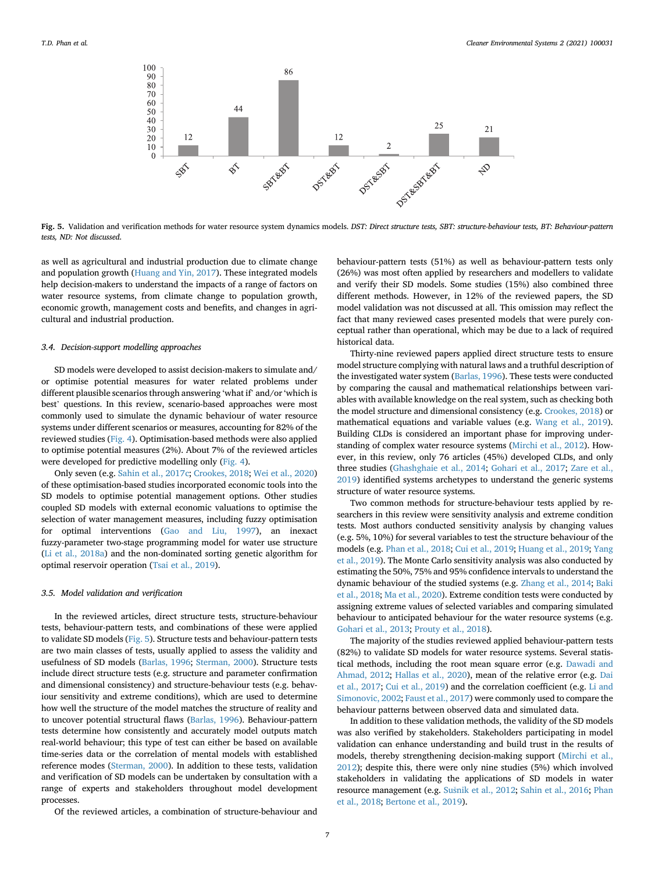<span id="page-6-0"></span>

Fig. 5. Validation and verification methods for water resource system dynamics models. DST: Direct structure tests, SBT: structure-behaviour tests, BT: Behaviour-pattern tests, ND: Not discussed.

as well as agricultural and industrial production due to climate change and population growth [\(Huang and Yin, 2017\)](#page-12-41). These integrated models help decision-makers to understand the impacts of a range of factors on water resource systems, from climate change to population growth, economic growth, management costs and benefits, and changes in agricultural and industrial production.

#### 3.4. Decision-support modelling approaches

SD models were developed to assist decision-makers to simulate and/ or optimise potential measures for water related problems under different plausible scenarios through answering 'what if' and/or'which is best' questions. In this review, scenario-based approaches were most commonly used to simulate the dynamic behaviour of water resource systems under different scenarios or measures, accounting for 82% of the reviewed studies ([Fig. 4\)](#page-5-0). Optimisation-based methods were also applied to optimise potential measures (2%). About 7% of the reviewed articles were developed for predictive modelling only ([Fig. 4\)](#page-5-0).

Only seven (e.g. [Sahin et al., 2017c](#page-13-33); [Crookes, 2018](#page-11-25); [Wei et al., 2020\)](#page-14-34) of these optimisation-based studies incorporated economic tools into the SD models to optimise potential management options. Other studies coupled SD models with external economic valuations to optimise the selection of water management measures, including fuzzy optimisation for optimal interventions [\(Gao and Liu, 1997\)](#page-11-34), an inexact fuzzy-parameter two-stage programming model for water use structure ([Li et al., 2018a\)](#page-12-44) and the non-dominated sorting genetic algorithm for optimal reservoir operation ([Tsai et al., 2019](#page-13-41)).

# 3.5. Model validation and verification

In the reviewed articles, direct structure tests, structure-behaviour tests, behaviour-pattern tests, and combinations of these were applied to validate SD models ([Fig. 5](#page-6-0)). Structure tests and behaviour-pattern tests are two main classes of tests, usually applied to assess the validity and usefulness of SD models [\(Barlas, 1996](#page-11-47); [Sterman, 2000](#page-13-5)). Structure tests include direct structure tests (e.g. structure and parameter confirmation and dimensional consistency) and structure-behaviour tests (e.g. behaviour sensitivity and extreme conditions), which are used to determine how well the structure of the model matches the structure of reality and to uncover potential structural flaws [\(Barlas, 1996](#page-11-47)). Behaviour-pattern tests determine how consistently and accurately model outputs match real-world behaviour; this type of test can either be based on available time-series data or the correlation of mental models with established reference modes [\(Sterman, 2000\)](#page-13-5). In addition to these tests, validation and verification of SD models can be undertaken by consultation with a range of experts and stakeholders throughout model development processes.

behaviour-pattern tests (51%) as well as behaviour-pattern tests only (26%) was most often applied by researchers and modellers to validate and verify their SD models. Some studies (15%) also combined three different methods. However, in 12% of the reviewed papers, the SD model validation was not discussed at all. This omission may reflect the fact that many reviewed cases presented models that were purely conceptual rather than operational, which may be due to a lack of required historical data.

Thirty-nine reviewed papers applied direct structure tests to ensure model structure complying with natural laws and a truthful description of the investigated water system ([Barlas, 1996\)](#page-11-47). These tests were conducted by comparing the causal and mathematical relationships between variables with available knowledge on the real system, such as checking both the model structure and dimensional consistency (e.g. [Crookes, 2018](#page-11-25)) or mathematical equations and variable values (e.g. [Wang et al., 2019\)](#page-14-9). Building CLDs is considered an important phase for improving understanding of complex water resource systems ([Mirchi et al., 2012](#page-12-3)). However, in this review, only 76 articles (45%) developed CLDs, and only three studies ([Ghashghaie et al., 2014;](#page-12-23) [Gohari et al., 2017](#page-12-4); [Zare et al.,](#page-14-5) [2019\)](#page-14-5) identified systems archetypes to understand the generic systems structure of water resource systems.

Two common methods for structure-behaviour tests applied by researchers in this review were sensitivity analysis and extreme condition tests. Most authors conducted sensitivity analysis by changing values (e.g. 5%, 10%) for several variables to test the structure behaviour of the models (e.g. [Phan et al., 2018;](#page-13-7) [Cui et al., 2019](#page-11-44); [Huang et al., 2019;](#page-12-36) [Yang](#page-14-4) [et al., 2019\)](#page-14-4). The Monte Carlo sensitivity analysis was also conducted by estimating the 50%, 75% and 95% confidence intervals to understand the dynamic behaviour of the studied systems (e.g. [Zhang et al., 2014;](#page-14-0) [Baki](#page-11-18) [et al., 2018;](#page-11-18) [Ma et al., 2020\)](#page-12-26). Extreme condition tests were conducted by assigning extreme values of selected variables and comparing simulated behaviour to anticipated behaviour for the water resource systems (e.g. [Gohari et al., 2013;](#page-12-5) [Prouty et al., 2018](#page-13-22)).

The majority of the studies reviewed applied behaviour-pattern tests (82%) to validate SD models for water resource systems. Several statistical methods, including the root mean square error (e.g. [Dawadi and](#page-11-23) [Ahmad, 2012;](#page-11-23) [Hallas et al., 2020\)](#page-12-27), mean of the relative error (e.g. [Dai](#page-11-33) [et al., 2017](#page-11-33); [Cui et al., 2019\)](#page-11-44) and the correlation coefficient (e.g. [Li and](#page-12-17) [Simonovic, 2002;](#page-12-17) [Faust et al., 2017](#page-11-16)) were commonly used to compare the behaviour patterns between observed data and simulated data.

In addition to these validation methods, the validity of the SD models was also verified by stakeholders. Stakeholders participating in model validation can enhance understanding and build trust in the results of models, thereby strengthening decision-making support ([Mirchi et al.,](#page-12-3) [2012\)](#page-12-3); despite this, there were only nine studies (5%) which involved stakeholders in validating the applications of SD models in water resource management (e.g. [Su](#page-13-36)[snik et al., 2012;](#page-13-36) [Sahin et al., 2016;](#page-13-42) [Phan](#page-13-7) [et al., 2018](#page-13-7); [Bertone et al., 2019](#page-11-21)).

Of the reviewed articles, a combination of structure-behaviour and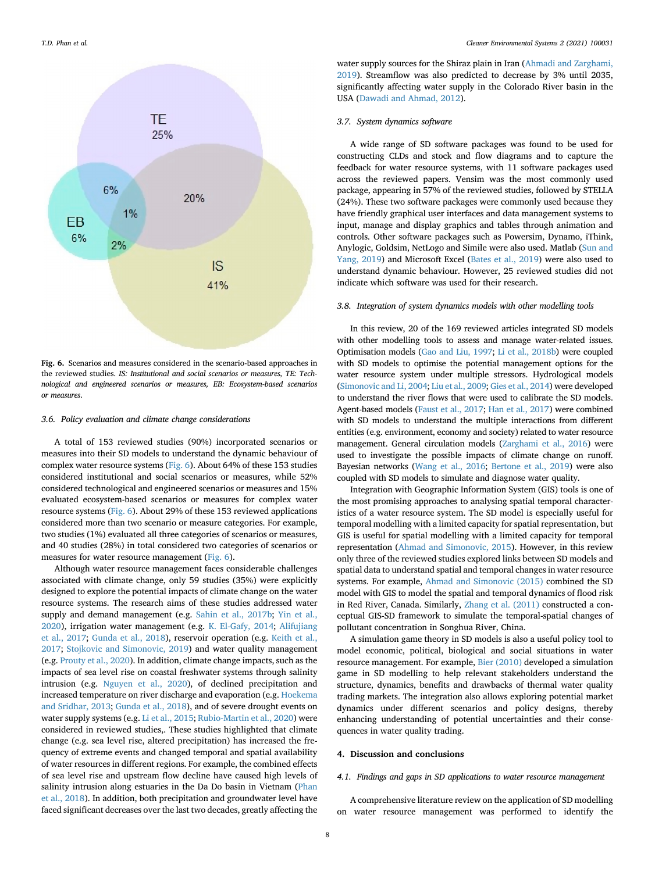<span id="page-7-0"></span>

Fig. 6. Scenarios and measures considered in the scenario-based approaches in the reviewed studies. IS: Institutional and social scenarios or measures, TE: Technological and engineered scenarios or measures, EB: Ecosystem-based scenarios or measures.

# 3.6. Policy evaluation and climate change considerations

A total of 153 reviewed studies (90%) incorporated scenarios or measures into their SD models to understand the dynamic behaviour of complex water resource systems [\(Fig. 6\)](#page-7-0). About 64% of these 153 studies considered institutional and social scenarios or measures, while 52% considered technological and engineered scenarios or measures and 15% evaluated ecosystem-based scenarios or measures for complex water resource systems ([Fig. 6](#page-7-0)). About 29% of these 153 reviewed applications considered more than two scenario or measure categories. For example, two studies (1%) evaluated all three categories of scenarios or measures, and 40 studies (28%) in total considered two categories of scenarios or measures for water resource management ([Fig. 6\)](#page-7-0).

Although water resource management faces considerable challenges associated with climate change, only 59 studies (35%) were explicitly designed to explore the potential impacts of climate change on the water resource systems. The research aims of these studies addressed water supply and demand management (e.g. [Sahin et al., 2017b](#page-13-37); [Yin et al.,](#page-14-33) [2020\)](#page-14-33), irrigation water management (e.g. [K. El-Gafy, 2014;](#page-12-19) [Alifujiang](#page-11-32) [et al., 2017;](#page-11-32) [Gunda et al., 2018](#page-12-20)), reservoir operation (e.g. [Keith et al.,](#page-12-21) [2017;](#page-12-21) [Stojkovic and Simonovic, 2019\)](#page-13-19) and water quality management (e.g. [Prouty et al., 2020](#page-13-21)). In addition, climate change impacts, such as the impacts of sea level rise on coastal freshwater systems through salinity intrusion (e.g. [Nguyen et al., 2020](#page-13-40)), of declined precipitation and increased temperature on river discharge and evaporation (e.g. [Hoekema](#page-12-32) [and Sridhar, 2013;](#page-12-32) [Gunda et al., 2018\)](#page-12-20), and of severe drought events on water supply systems (e.g. [Li et al., 2015](#page-12-35); [Rubio-Martin et al., 2020\)](#page-13-32) were considered in reviewed studies,. These studies highlighted that climate change (e.g. sea level rise, altered precipitation) has increased the frequency of extreme events and changed temporal and spatial availability of water resources in different regions. For example, the combined effects of sea level rise and upstream flow decline have caused high levels of salinity intrusion along estuaries in the Da Do basin in Vietnam [\(Phan](#page-13-7) [et al., 2018\)](#page-13-7). In addition, both precipitation and groundwater level have faced significant decreases over the last two decades, greatly affecting the

water supply sources for the Shiraz plain in Iran ([Ahmadi and Zarghami,](#page-11-41) [2019\)](#page-11-41). Streamflow was also predicted to decrease by 3% until 2035, significantly affecting water supply in the Colorado River basin in the USA [\(Dawadi and Ahmad, 2012\)](#page-11-23).

# 3.7. System dynamics software

A wide range of SD software packages was found to be used for constructing CLDs and stock and flow diagrams and to capture the feedback for water resource systems, with 11 software packages used across the reviewed papers. Vensim was the most commonly used package, appearing in 57% of the reviewed studies, followed by STELLA (24%). These two software packages were commonly used because they have friendly graphical user interfaces and data management systems to input, manage and display graphics and tables through animation and controls. Other software packages such as Powersim, Dynamo, iThink, Anylogic, Goldsim, NetLogo and Simile were also used. Matlab ([Sun and](#page-13-2) [Yang, 2019\)](#page-13-2) and Microsoft Excel [\(Bates et al., 2019\)](#page-11-8) were also used to understand dynamic behaviour. However, 25 reviewed studies did not indicate which software was used for their research.

# 3.8. Integration of system dynamics models with other modelling tools

In this review, 20 of the 169 reviewed articles integrated SD models with other modelling tools to assess and manage water-related issues. Optimisation models [\(Gao and Liu, 1997;](#page-11-34) [Li et al., 2018b\)](#page-12-47) were coupled with SD models to optimise the potential management options for the water resource system under multiple stressors. Hydrological models [\(Simonovic and Li, 2004;](#page-13-13) [Liu et al., 2009](#page-12-8); [Gies et al., 2014\)](#page-12-7) were developed to understand the river flows that were used to calibrate the SD models. Agent-based models [\(Faust et al., 2017;](#page-11-16) [Han et al., 2017\)](#page-12-1) were combined with SD models to understand the multiple interactions from different entities (e.g. environment, economy and society) related to water resource management. General circulation models [\(Zarghami et al., 2016](#page-14-17)) were used to investigate the possible impacts of climate change on runoff. Bayesian networks ([Wang et al., 2016;](#page-13-26) [Bertone et al., 2019\)](#page-11-21) were also coupled with SD models to simulate and diagnose water quality.

Integration with Geographic Information System (GIS) tools is one of the most promising approaches to analysing spatial temporal characteristics of a water resource system. The SD model is especially useful for temporal modelling with a limited capacity for spatial representation, but GIS is useful for spatial modelling with a limited capacity for temporal representation [\(Ahmad and Simonovic, 2015](#page-11-39)). However, in this review only three of the reviewed studies explored links between SD models and spatial data to understand spatial and temporal changes in water resource systems. For example, [Ahmad and Simonovic \(2015\)](#page-11-39) combined the SD model with GIS to model the spatial and temporal dynamics of flood risk in Red River, Canada. Similarly, [Zhang et al. \(2011\)](#page-14-3) constructed a conceptual GIS-SD framework to simulate the temporal-spatial changes of pollutant concentration in Songhua River, China.

A simulation game theory in SD models is also a useful policy tool to model economic, political, biological and social situations in water resource management. For example, [Bier \(2010\)](#page-11-20) developed a simulation game in SD modelling to help relevant stakeholders understand the structure, dynamics, benefits and drawbacks of thermal water quality trading markets. The integration also allows exploring potential market dynamics under different scenarios and policy designs, thereby enhancing understanding of potential uncertainties and their consequences in water quality trading.

# 4. Discussion and conclusions

# 4.1. Findings and gaps in SD applications to water resource management

A comprehensive literature review on the application of SD modelling on water resource management was performed to identify the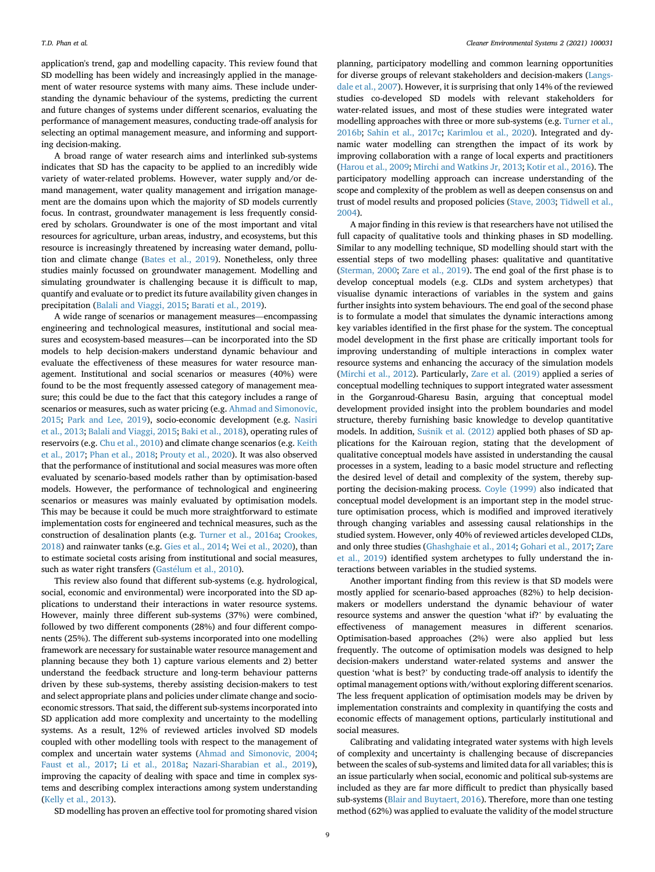application's trend, gap and modelling capacity. This review found that SD modelling has been widely and increasingly applied in the management of water resource systems with many aims. These include understanding the dynamic behaviour of the systems, predicting the current and future changes of systems under different scenarios, evaluating the performance of management measures, conducting trade-off analysis for selecting an optimal management measure, and informing and supporting decision-making.

A broad range of water research aims and interlinked sub-systems indicates that SD has the capacity to be applied to an incredibly wide variety of water-related problems. However, water supply and/or demand management, water quality management and irrigation management are the domains upon which the majority of SD models currently focus. In contrast, groundwater management is less frequently considered by scholars. Groundwater is one of the most important and vital resources for agriculture, urban areas, industry, and ecosystems, but this resource is increasingly threatened by increasing water demand, pollution and climate change ([Bates et al., 2019\)](#page-11-8). Nonetheless, only three studies mainly focussed on groundwater management. Modelling and simulating groundwater is challenging because it is difficult to map, quantify and evaluate or to predict its future availability given changes in precipitation ([Balali and Viaggi, 2015;](#page-11-9) [Barati et al., 2019](#page-11-10)).

A wide range of scenarios or management measures—encompassing engineering and technological measures, institutional and social measures and ecosystem-based measures—can be incorporated into the SD models to help decision-makers understand dynamic behaviour and evaluate the effectiveness of these measures for water resource management. Institutional and social scenarios or measures (40%) were found to be the most frequently assessed category of management measure; this could be due to the fact that this category includes a range of scenarios or measures, such as water pricing (e.g. [Ahmad and Simonovic,](#page-11-39) [2015;](#page-11-39) [Park and Lee, 2019\)](#page-13-24), socio-economic development (e.g. [Nasiri](#page-12-34) [et al., 2013](#page-12-34); [Balali and Viaggi, 2015;](#page-11-9) [Baki et al., 2018\)](#page-11-18), operating rules of reservoirs (e.g. [Chu et al., 2010](#page-11-24)) and climate change scenarios (e.g. [Keith](#page-12-21) [et al., 2017](#page-12-21); [Phan et al., 2018](#page-13-7); [Prouty et al., 2020\)](#page-13-21). It was also observed that the performance of institutional and social measures was more often evaluated by scenario-based models rather than by optimisation-based models. However, the performance of technological and engineering scenarios or measures was mainly evaluated by optimisation models. This may be because it could be much more straightforward to estimate implementation costs for engineered and technical measures, such as the construction of desalination plants (e.g. [Turner et al., 2016a](#page-13-14); [Crookes,](#page-11-25) [2018\)](#page-11-25) and rainwater tanks (e.g. [Gies et al., 2014](#page-12-7); [Wei et al., 2020\)](#page-14-34), than to estimate societal costs arising from institutional and social measures, such as water right transfers [\(Gast](#page-11-14)élum et al., 2010).

This review also found that different sub-systems (e.g. hydrological, social, economic and environmental) were incorporated into the SD applications to understand their interactions in water resource systems. However, mainly three different sub-systems (37%) were combined, followed by two different components (28%) and four different components (25%). The different sub-systems incorporated into one modelling framework are necessary for sustainable water resource management and planning because they both 1) capture various elements and 2) better understand the feedback structure and long-term behaviour patterns driven by these sub-systems, thereby assisting decision-makers to test and select appropriate plans and policies under climate change and socioeconomic stressors. That said, the different sub-systems incorporated into SD application add more complexity and uncertainty to the modelling systems. As a result, 12% of reviewed articles involved SD models coupled with other modelling tools with respect to the management of complex and uncertain water systems ([Ahmad and Simonovic, 2004;](#page-11-1) [Faust et al., 2017](#page-11-16); [Li et al., 2018a;](#page-12-44) [Nazari-Sharabian et al., 2019\)](#page-13-27), improving the capacity of dealing with space and time in complex systems and describing complex interactions among system understanding ([Kelly et al., 2013\)](#page-12-49).

planning, participatory modelling and common learning opportunities for diverse groups of relevant stakeholders and decision-makers [\(Langs](#page-12-0)[dale et al., 2007\)](#page-12-0). However, it is surprising that only 14% of the reviewed studies co-developed SD models with relevant stakeholders for water-related issues, and most of these studies were integrated water modelling approaches with three or more sub-systems (e.g. [Turner et al.,](#page-13-18) [2016b;](#page-13-18) [Sahin et al., 2017c;](#page-13-33) [Karimlou et al., 2020](#page-12-9)). Integrated and dynamic water modelling can strengthen the impact of its work by improving collaboration with a range of local experts and practitioners ([Harou et al., 2009](#page-12-48); [Mirchi and Watkins Jr, 2013](#page-12-6); [Kotir et al., 2016](#page-12-2)). The participatory modelling approach can increase understanding of the scope and complexity of the problem as well as deepen consensus on and trust of model results and proposed policies [\(Stave, 2003](#page-13-3); [Tidwell et al.,](#page-13-0) [2004\)](#page-13-0).

A major finding in this review is that researchers have not utilised the full capacity of qualitative tools and thinking phases in SD modelling. Similar to any modelling technique, SD modelling should start with the essential steps of two modelling phases: qualitative and quantitative ([Sterman, 2000](#page-13-5); [Zare et al., 2019](#page-14-5)). The end goal of the first phase is to develop conceptual models (e.g. CLDs and system archetypes) that visualise dynamic interactions of variables in the system and gains further insights into system behaviours. The end goal of the second phase is to formulate a model that simulates the dynamic interactions among key variables identified in the first phase for the system. The conceptual model development in the first phase are critically important tools for improving understanding of multiple interactions in complex water resource systems and enhancing the accuracy of the simulation models ([Mirchi et al., 2012\)](#page-12-3). Particularly, [Zare et al. \(2019\)](#page-14-5) applied a series of conceptual modelling techniques to support integrated water assessment in the Gorganroud-Gharesu Basin, arguing that conceptual model development provided insight into the problem boundaries and model structure, thereby furnishing basic knowledge to develop quantitative models. In addition, [Su](#page-13-36)š[nik et al. \(2012\)](#page-13-36) applied both phases of SD applications for the Kairouan region, stating that the development of qualitative conceptual models have assisted in understanding the causal processes in a system, leading to a basic model structure and reflecting the desired level of detail and complexity of the system, thereby supporting the decision-making process. [Coyle \(1999\)](#page-11-48) also indicated that conceptual model development is an important step in the model structure optimisation process, which is modified and improved iteratively through changing variables and assessing causal relationships in the studied system. However, only 40% of reviewed articles developed CLDs, and only three studies ([Ghashghaie et al., 2014](#page-12-23); [Gohari et al., 2017](#page-12-4); [Zare](#page-14-5) [et al., 2019\)](#page-14-5) identified system archetypes to fully understand the interactions between variables in the studied systems.

Another important finding from this review is that SD models were mostly applied for scenario-based approaches (82%) to help decisionmakers or modellers understand the dynamic behaviour of water resource systems and answer the question 'what if?' by evaluating the effectiveness of management measures in different scenarios. Optimisation-based approaches (2%) were also applied but less frequently. The outcome of optimisation models was designed to help decision-makers understand water-related systems and answer the question 'what is best?' by conducting trade-off analysis to identify the optimal management options with/without exploring different scenarios. The less frequent application of optimisation models may be driven by implementation constraints and complexity in quantifying the costs and economic effects of management options, particularly institutional and social measures.

Calibrating and validating integrated water systems with high levels of complexity and uncertainty is challenging because of discrepancies between the scales of sub-systems and limited data for all variables; this is an issue particularly when social, economic and political sub-systems are included as they are far more difficult to predict than physically based sub-systems ([Blair and Buytaert, 2016](#page-11-46)). Therefore, more than one testing method (62%) was applied to evaluate the validity of the model structure

SD modelling has proven an effective tool for promoting shared vision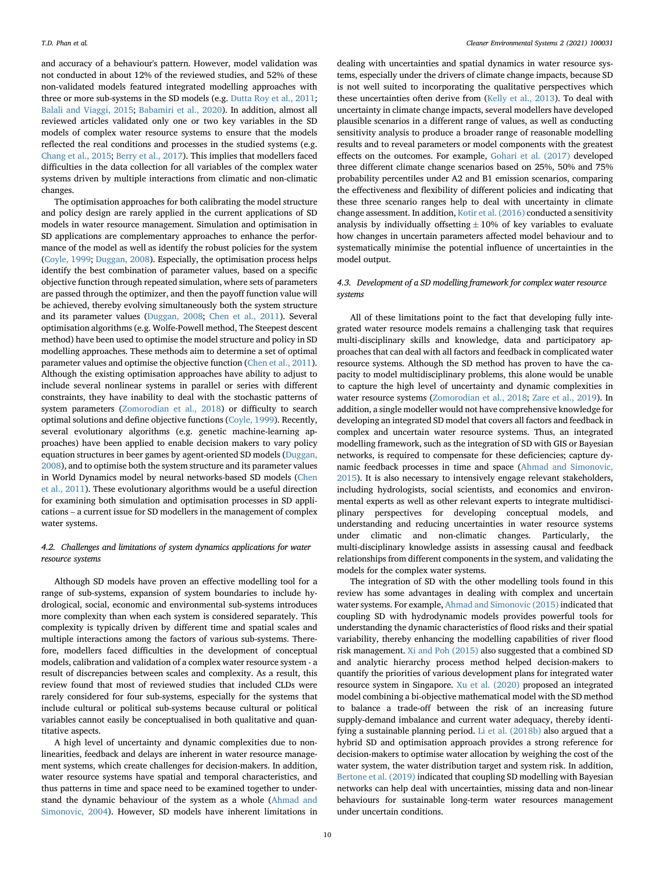and accuracy of a behaviour's pattern. However, model validation was not conducted in about 12% of the reviewed studies, and 52% of these non-validated models featured integrated modelling approaches with three or more sub-systems in the SD models (e.g. [Dutta Roy et al., 2011;](#page-11-30) [Balali and Viaggi, 2015](#page-11-9); [Babamiri et al., 2020\)](#page-11-27). In addition, almost all reviewed articles validated only one or two key variables in the SD models of complex water resource systems to ensure that the models reflected the real conditions and processes in the studied systems (e.g. [Chang et al., 2015](#page-11-43); [Berry et al., 2017](#page-11-22)). This implies that modellers faced difficulties in the data collection for all variables of the complex water systems driven by multiple interactions from climatic and non-climatic changes.

The optimisation approaches for both calibrating the model structure and policy design are rarely applied in the current applications of SD models in water resource management. Simulation and optimisation in SD applications are complementary approaches to enhance the performance of the model as well as identify the robust policies for the system ([Coyle, 1999;](#page-11-48) [Duggan, 2008](#page-11-49)). Especially, the optimisation process helps identify the best combination of parameter values, based on a specific objective function through repeated simulation, where sets of parameters are passed through the optimizer, and then the payoff function value will be achieved, thereby evolving simultaneously both the system structure and its parameter values [\(Duggan, 2008](#page-11-49); [Chen et al., 2011](#page-11-50)). Several optimisation algorithms (e.g. Wolfe-Powell method, The Steepest descent method) have been used to optimise the model structure and policy in SD modelling approaches. These methods aim to determine a set of optimal parameter values and optimise the objective function [\(Chen et al., 2011\)](#page-11-50). Although the existing optimisation approaches have ability to adjust to include several nonlinear systems in parallel or series with different constraints, they have inability to deal with the stochastic patterns of system parameters [\(Zomorodian et al., 2018](#page-14-2)) or difficulty to search optimal solutions and define objective functions ([Coyle, 1999](#page-11-48)). Recently, several evolutionary algorithms (e.g. genetic machine-learning approaches) have been applied to enable decision makers to vary policy equation structures in beer games by agent-oriented SD models ([Duggan,](#page-11-49) [2008\)](#page-11-49), and to optimise both the system structure and its parameter values in World Dynamics model by neural networks-based SD models ([Chen](#page-11-50) [et al., 2011](#page-11-50)). These evolutionary algorithms would be a useful direction for examining both simulation and optimisation processes in SD applications – a current issue for SD modellers in the management of complex water systems.

# 4.2. Challenges and limitations of system dynamics applications for water resource systems

Although SD models have proven an effective modelling tool for a range of sub-systems, expansion of system boundaries to include hydrological, social, economic and environmental sub-systems introduces more complexity than when each system is considered separately. This complexity is typically driven by different time and spatial scales and multiple interactions among the factors of various sub-systems. Therefore, modellers faced difficulties in the development of conceptual models, calibration and validation of a complex water resource system - a result of discrepancies between scales and complexity. As a result, this review found that most of reviewed studies that included CLDs were rarely considered for four sub-systems, especially for the systems that include cultural or political sub-systems because cultural or political variables cannot easily be conceptualised in both qualitative and quantitative aspects.

A high level of uncertainty and dynamic complexities due to nonlinearities, feedback and delays are inherent in water resource management systems, which create challenges for decision-makers. In addition, water resource systems have spatial and temporal characteristics, and thus patterns in time and space need to be examined together to understand the dynamic behaviour of the system as a whole ([Ahmad and](#page-11-1) [Simonovic, 2004](#page-11-1)). However, SD models have inherent limitations in

dealing with uncertainties and spatial dynamics in water resource systems, especially under the drivers of climate change impacts, because SD is not well suited to incorporating the qualitative perspectives which these uncertainties often derive from [\(Kelly et al., 2013\)](#page-12-49). To deal with uncertainty in climate change impacts, several modellers have developed plausible scenarios in a different range of values, as well as conducting sensitivity analysis to produce a broader range of reasonable modelling results and to reveal parameters or model components with the greatest effects on the outcomes. For example, [Gohari et al. \(2017\)](#page-12-4) developed three different climate change scenarios based on 25%, 50% and 75% probability percentiles under A2 and B1 emission scenarios, comparing the effectiveness and flexibility of different policies and indicating that these three scenario ranges help to deal with uncertainty in climate change assessment. In addition, [Kotir et al. \(2016\)](#page-12-2) conducted a sensitivity analysis by individually offsetting  $\pm 10\%$  of key variables to evaluate how changes in uncertain parameters affected model behaviour and to systematically minimise the potential influence of uncertainties in the model output.

# 4.3. Development of a SD modelling framework for complex water resource systems

All of these limitations point to the fact that developing fully integrated water resource models remains a challenging task that requires multi-disciplinary skills and knowledge, data and participatory approaches that can deal with all factors and feedback in complicated water resource systems. Although the SD method has proven to have the capacity to model multidisciplinary problems, this alone would be unable to capture the high level of uncertainty and dynamic complexities in water resource systems ([Zomorodian et al., 2018](#page-14-2); [Zare et al., 2019\)](#page-14-5). In addition, a single modeller would not have comprehensive knowledge for developing an integrated SD model that covers all factors and feedback in complex and uncertain water resource systems. Thus, an integrated modelling framework, such as the integration of SD with GIS or Bayesian networks, is required to compensate for these deficiencies; capture dynamic feedback processes in time and space ([Ahmad and Simonovic,](#page-11-39) [2015\)](#page-11-39). It is also necessary to intensively engage relevant stakeholders, including hydrologists, social scientists, and economics and environmental experts as well as other relevant experts to integrate multidisciplinary perspectives for developing conceptual models, and understanding and reducing uncertainties in water resource systems under climatic and non-climatic changes. Particularly, the multi-disciplinary knowledge assists in assessing causal and feedback relationships from different components in the system, and validating the models for the complex water systems.

The integration of SD with the other modelling tools found in this review has some advantages in dealing with complex and uncertain water systems. For example, [Ahmad and Simonovic \(2015\)](#page-11-39) indicated that coupling SD with hydrodynamic models provides powerful tools for understanding the dynamic characteristics of flood risks and their spatial variability, thereby enhancing the modelling capabilities of river flood risk management. [Xi and Poh \(2015\)](#page-14-16) also suggested that a combined SD and analytic hierarchy process method helped decision-makers to quantify the priorities of various development plans for integrated water resource system in Singapore. [Xu et al. \(2020\)](#page-14-14) proposed an integrated model combining a bi-objective mathematical model with the SD method to balance a trade-off between the risk of an increasing future supply-demand imbalance and current water adequacy, thereby identifying a sustainable planning period. [Li et al. \(2018b\)](#page-12-47) also argued that a hybrid SD and optimisation approach provides a strong reference for decision-makers to optimise water allocation by weighing the cost of the water system, the water distribution target and system risk. In addition, [Bertone et al. \(2019\)](#page-11-21) indicated that coupling SD modelling with Bayesian networks can help deal with uncertainties, missing data and non-linear behaviours for sustainable long-term water resources management under uncertain conditions.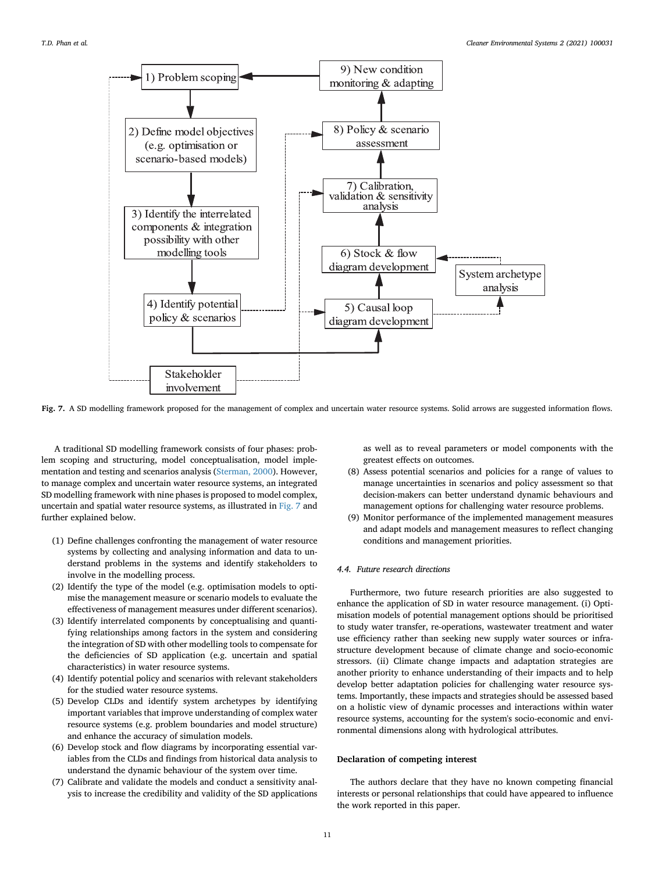<span id="page-10-0"></span>

Fig. 7. A SD modelling framework proposed for the management of complex and uncertain water resource systems. Solid arrows are suggested information flows.

A traditional SD modelling framework consists of four phases: problem scoping and structuring, model conceptualisation, model implementation and testing and scenarios analysis [\(Sterman, 2000\)](#page-13-5). However, to manage complex and uncertain water resource systems, an integrated SD modelling framework with nine phases is proposed to model complex, uncertain and spatial water resource systems, as illustrated in [Fig. 7](#page-10-0) and further explained below.

- (1) Define challenges confronting the management of water resource systems by collecting and analysing information and data to understand problems in the systems and identify stakeholders to involve in the modelling process.
- (2) Identify the type of the model (e.g. optimisation models to optimise the management measure or scenario models to evaluate the effectiveness of management measures under different scenarios).
- (3) Identify interrelated components by conceptualising and quantifying relationships among factors in the system and considering the integration of SD with other modelling tools to compensate for the deficiencies of SD application (e.g. uncertain and spatial characteristics) in water resource systems.
- (4) Identify potential policy and scenarios with relevant stakeholders for the studied water resource systems.
- (5) Develop CLDs and identify system archetypes by identifying important variables that improve understanding of complex water resource systems (e.g. problem boundaries and model structure) and enhance the accuracy of simulation models.
- (6) Develop stock and flow diagrams by incorporating essential variables from the CLDs and findings from historical data analysis to understand the dynamic behaviour of the system over time.
- (7) Calibrate and validate the models and conduct a sensitivity analysis to increase the credibility and validity of the SD applications

as well as to reveal parameters or model components with the greatest effects on outcomes.

- (8) Assess potential scenarios and policies for a range of values to manage uncertainties in scenarios and policy assessment so that decision-makers can better understand dynamic behaviours and management options for challenging water resource problems.
- (9) Monitor performance of the implemented management measures and adapt models and management measures to reflect changing conditions and management priorities.

# 4.4. Future research directions

Furthermore, two future research priorities are also suggested to enhance the application of SD in water resource management. (i) Optimisation models of potential management options should be prioritised to study water transfer, re-operations, wastewater treatment and water use efficiency rather than seeking new supply water sources or infrastructure development because of climate change and socio-economic stressors. (ii) Climate change impacts and adaptation strategies are another priority to enhance understanding of their impacts and to help develop better adaptation policies for challenging water resource systems. Importantly, these impacts and strategies should be assessed based on a holistic view of dynamic processes and interactions within water resource systems, accounting for the system's socio-economic and environmental dimensions along with hydrological attributes.

# Declaration of competing interest

The authors declare that they have no known competing financial interests or personal relationships that could have appeared to influence the work reported in this paper.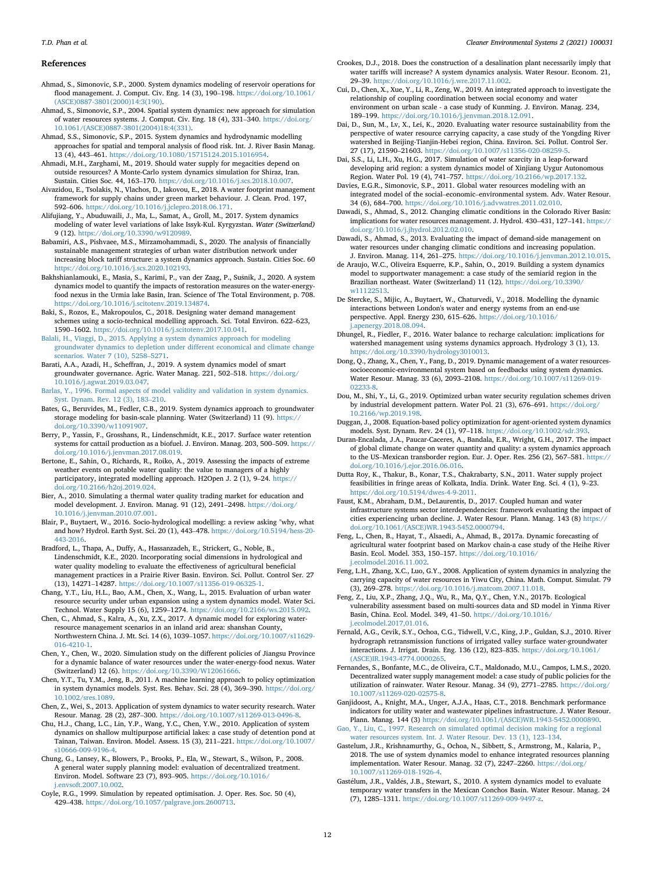# References

- <span id="page-11-7"></span>Ahmad, S., Simonovic, S.P., 2000. System dynamics modeling of reservoir operations for flood management. J. Comput. Civ. Eng. 14 (3), 190–198. [https://doi.org/10.1061/](https://doi.org/10.1061/(ASCE)0887-3801(2000)14:3(190)) [\(ASCE\)0887-3801\(2000\)14:3\(190\)](https://doi.org/10.1061/(ASCE)0887-3801(2000)14:3(190)).
- <span id="page-11-1"></span>Ahmad, S., Simonovic, S.P., 2004. Spatial system dynamics: new approach for simulation of water resources systems. J. Comput. Civ. Eng. 18 (4), 331–340. [https://doi.org/](https://doi.org/10.1061/(ASCE)0887-3801(2004)18:4(331)) [10.1061/\(ASCE\)0887-3801\(2004\)18:4\(331\).](https://doi.org/10.1061/(ASCE)0887-3801(2004)18:4(331))
- <span id="page-11-39"></span>Ahmad, S.S., Simonovic, S.P., 2015. System dynamics and hydrodynamic modelling approaches for spatial and temporal analysis of flood risk. Int. J. River Basin Manag. 13 (4), 443–461. [https://doi.org/10.1080/15715124.2015.1016954.](https://doi.org/10.1080/15715124.2015.1016954)
- <span id="page-11-41"></span>Ahmadi, M.H., Zarghami, M., 2019. Should water supply for megacities depend on outside resources? A Monte-Carlo system dynamics simulation for Shiraz, Iran. Sustain. Cities Soc. 44, 163–170. [https://doi.org/10.1016/j.scs.2018.10.007.](https://doi.org/10.1016/j.scs.2018.10.007)
- <span id="page-11-17"></span>Aivazidou, E., Tsolakis, N., Vlachos, D., Iakovou, E., 2018. A water footprint management framework for supply chains under green market behaviour. J. Clean. Prod. 197, <sup>592</sup>–606. [https://doi.org/10.1016/j.jclepro.2018.06.171.](https://doi.org/10.1016/j.jclepro.2018.06.171)
- <span id="page-11-32"></span>Alifujiang, Y., Abuduwaili, J., Ma, L., Samat, A., Groll, M., 2017. System dynamics modeling of water level variations of lake Issyk-Kul. Kyrgyzstan. Water (Switzerland) 9 (12). [https://doi.org/10.3390/w9120989.](https://doi.org/10.3390/w9120989)
- <span id="page-11-27"></span>Babamiri, A.S., Pishvaee, M.S., Mirzamohammadi, S., 2020. The analysis of financially sustainable management strategies of urban water distribution network under increasing block tariff structure: a system dynamics approach. Sustain. Cities Soc. 60 [https://doi.org/10.1016/j.scs.2020.102193.](https://doi.org/10.1016/j.scs.2020.102193)
- <span id="page-11-2"></span>Bakhshianlamouki, E., Masia, S., Karimi, P., van der Zaag, P., Susnik, J., 2020. A system dynamics model to quantify the impacts of restoration measures on the water-energyfood nexus in the Urmia lake Basin, Iran. Science of The Total Environment, p. 708. <https://doi.org/10.1016/j.scitotenv.2019.134874>.
- <span id="page-11-18"></span>Baki, S., Rozos, E., Makropoulos, C., 2018. Designing water demand management schemes using a socio-technical modelling approach. Sci. Total Environ. 622–623, <sup>1590</sup>–1602. [https://doi.org/10.1016/j.scitotenv.2017.10.041.](https://doi.org/10.1016/j.scitotenv.2017.10.041)
- <span id="page-11-9"></span>[Balali, H., Viaggi, D., 2015. Applying a system dynamics approach for modeling](http://refhub.elsevier.com/S2666-7894(21)00023-4/sref10) [groundwater dynamics to depletion under different economical and climate change](http://refhub.elsevier.com/S2666-7894(21)00023-4/sref10) [scenarios. Water 7 \(10\), 5258](http://refhub.elsevier.com/S2666-7894(21)00023-4/sref10)–[5271](http://refhub.elsevier.com/S2666-7894(21)00023-4/sref10).
- <span id="page-11-10"></span>Barati, A.A., Azadi, H., Scheffran, J., 2019. A system dynamics model of smart groundwater governance. Agric. Water Manag. 221, 502–518. [https://doi.org/](https://doi.org/10.1016/j.agwat.2019.03.047) [10.1016/j.agwat.2019.03.047.](https://doi.org/10.1016/j.agwat.2019.03.047)
- <span id="page-11-47"></span>[Barlas, Y., 1996. Formal aspects of model validity and validation in system dynamics.](http://refhub.elsevier.com/S2666-7894(21)00023-4/sref12) [Syst. Dynam. Rev. 12 \(3\), 183](http://refhub.elsevier.com/S2666-7894(21)00023-4/sref12)–[210](http://refhub.elsevier.com/S2666-7894(21)00023-4/sref12).
- <span id="page-11-8"></span>Bates, G., Beruvides, M., Fedler, C.B., 2019. System dynamics approach to groundwater storage modeling for basin-scale planning. Water (Switzerland) 11 (9). [https://](https://doi.org/10.3390/w11091907) [doi.org/10.3390/w11091907.](https://doi.org/10.3390/w11091907)
- <span id="page-11-22"></span>Berry, P., Yassin, F., Grosshans, R., Lindenschmidt, K.E., 2017. Surface water retention systems for cattail production as a biofuel. J. Environ. Manag. 203, 500–509. [https://](https://doi.org/10.1016/j.jenvman.2017.08.019) [doi.org/10.1016/j.jenvman.2017.08.019](https://doi.org/10.1016/j.jenvman.2017.08.019).
- <span id="page-11-21"></span>Bertone, E., Sahin, O., Richards, R., Roiko, A., 2019. Assessing the impacts of extreme weather events on potable water quality: the value to managers of a highly participatory, integrated modelling approach. H2Open J. 2 (1), 9–24. [https://](https://doi.org/10.2166/h2oj.2019.024) [doi.org/10.2166/h2oj.2019.024](https://doi.org/10.2166/h2oj.2019.024).
- <span id="page-11-20"></span>Bier, A., 2010. Simulating a thermal water quality trading market for education and model development. J. Environ. Manag. 91 (12), 2491–2498. [https://doi.org/](https://doi.org/10.1016/j.jenvman.2010.07.001) [10.1016/j.jenvman.2010.07.001](https://doi.org/10.1016/j.jenvman.2010.07.001).
- <span id="page-11-46"></span>Blair, P., Buytaert, W., 2016. Socio-hydrological modelling: a review asking "why, what and how? Hydrol. Earth Syst. Sci. 20 (1), 443–478. [https://doi.org/10.5194/hess-20-](https://doi.org/10.5194/hess-20-443-2016) [443-2016.](https://doi.org/10.5194/hess-20-443-2016)
- <span id="page-11-19"></span>Bradford, L., Thapa, A., Duffy, A., Hassanzadeh, E., Strickert, G., Noble, B., Lindenschmidt, K.E., 2020. Incorporating social dimensions in hydrological and water quality modeling to evaluate the effectiveness of agricultural beneficial management practices in a Prairie River Basin. Environ. Sci. Pollut. Control Ser. 27 (13), 14271–14287. <https://doi.org/10.1007/s11356-019-06325-1>.
- <span id="page-11-43"></span>Chang, Y.T., Liu, H.L., Bao, A.M., Chen, X., Wang, L., 2015. Evaluation of urban water resource security under urban expansion using a system dynamics model. Water Sci. Technol. Water Supply 15 (6), 1259–1274. [https://doi.org/10.2166/ws.2015.092.](https://doi.org/10.2166/ws.2015.092)
- <span id="page-11-40"></span>Chen, C., Ahmad, S., Kalra, A., Xu, Z.X., 2017. A dynamic model for exploring waterresource management scenarios in an inland arid area: shanshan County, Northwestern China. J. Mt. Sci. 14 (6), 1039–1057. [https://doi.org/10.1007/s11629-](https://doi.org/10.1007/s11629-016-4210-1) [016-4210-1](https://doi.org/10.1007/s11629-016-4210-1).
- <span id="page-11-38"></span>Chen, Y., Chen, W., 2020. Simulation study on the different policies of Jiangsu Province for a dynamic balance of water resources under the water-energy-food nexus. Water (Switzerland) 12 (6). <https://doi.org/10.3390/W12061666>.
- <span id="page-11-50"></span>Chen, Y.T., Tu, Y.M., Jeng, B., 2011. A machine learning approach to policy optimization in system dynamics models. Syst. Res. Behav. Sci. 28 (4), 369–390. [https://doi.org/](https://doi.org/10.1002/sres.1089) [10.1002/sres.1089.](https://doi.org/10.1002/sres.1089)
- <span id="page-11-4"></span>Chen, Z., Wei, S., 2013. Application of system dynamics to water security research. Water Resour. Manag. 28 (2), 287–300. <https://doi.org/10.1007/s11269-013-0496-8>.
- <span id="page-11-24"></span>Chu, H.J., Chang, L.C., Lin, Y.P., Wang, Y.C., Chen, Y.W., 2010. Application of system dynamics on shallow multipurpose artificial lakes: a case study of detention pond at Tainan, Taiwan. Environ. Model. Assess. 15 (3), 211–221. [https://doi.org/10.1007/](https://doi.org/10.1007/s10666-009-9196-4) [s10666-009-9196-4.](https://doi.org/10.1007/s10666-009-9196-4)
- <span id="page-11-29"></span>Chung, G., Lansey, K., Blowers, P., Brooks, P., Ela, W., Stewart, S., Wilson, P., 2008. A general water supply planning model: evaluation of decentralized treatment. Environ. Model. Software 23 (7), 893–905. [https://doi.org/10.1016/](https://doi.org/10.1016/j.envsoft.2007.10.002) [j.envsoft.2007.10.002.](https://doi.org/10.1016/j.envsoft.2007.10.002)
- <span id="page-11-48"></span>Coyle, R.G., 1999. Simulation by repeated optimisation. J. Oper. Res. Soc. 50 (4), <sup>429</sup>–438. <https://doi.org/10.1057/palgrave.jors.2600713>.
- <span id="page-11-25"></span>Crookes, D.J., 2018. Does the construction of a desalination plant necessarily imply that water tariffs will increase? A system dynamics analysis. Water Resour. Econom. 21, <sup>29</sup>–39. [https://doi.org/10.1016/j.wre.2017.11.002.](https://doi.org/10.1016/j.wre.2017.11.002)
- <span id="page-11-44"></span>Cui, D., Chen, X., Xue, Y., Li, R., Zeng, W., 2019. An integrated approach to investigate the relationship of coupling coordination between social economy and water environment on urban scale - a case study of Kunming. J. Environ. Manag. 234, <sup>189</sup>–199. [https://doi.org/10.1016/j.jenvman.2018.12.091.](https://doi.org/10.1016/j.jenvman.2018.12.091)
- <span id="page-11-45"></span>Dai, D., Sun, M., Lv, X., Lei, K., 2020. Evaluating water resource sustainability from the perspective of water resource carrying capacity, a case study of the Yongding River watershed in Beijing-Tianjin-Hebei region, China. Environ. Sci. Pollut. Control Ser. 27 (17), 21590–21603. [https://doi.org/10.1007/s11356-020-08259-5.](https://doi.org/10.1007/s11356-020-08259-5)
- <span id="page-11-33"></span>Dai, S.S., Li, L.H., Xu, H.G., 2017. Simulation of water scarcity in a leap-forward developing arid region: a system dynamics model of Xinjiang Uygur Autonomous Region. Water Pol. 19 (4), 741–757. <https://doi.org/10.2166/wp.2017.132>.
- <span id="page-11-0"></span>Davies, E.G.R., Simonovic, S.P., 2011. Global water resources modeling with an integrated model of the social–economic–environmental system. Adv. Water Resour. 34 (6), 684–700. [https://doi.org/10.1016/j.advwatres.2011.02.010.](https://doi.org/10.1016/j.advwatres.2011.02.010)
- <span id="page-11-23"></span>Dawadi, S., Ahmad, S., 2012. Changing climatic conditions in the Colorado River Basin: implications for water resources management. J. Hydrol. 430–431, 127–141. [https://](https://doi.org/10.1016/j.jhydrol.2012.02.010) [doi.org/10.1016/j.jhydrol.2012.02.010](https://doi.org/10.1016/j.jhydrol.2012.02.010).
- <span id="page-11-31"></span>Dawadi, S., Ahmad, S., 2013. Evaluating the impact of demand-side management on water resources under changing climatic conditions and increasing population. J. Environ. Manag. 114, 261–275. [https://doi.org/10.1016/j.jenvman.2012.10.015.](https://doi.org/10.1016/j.jenvman.2012.10.015)
- <span id="page-11-36"></span>de Araujo, W.C., Oliveira Esquerre, K.P., Sahin, O., 2019. Building a system dynamics model to supportwater management: a case study of the semiarid region in the Brazilian northeast. Water (Switzerland) 11 (12). [https://doi.org/10.3390/](https://doi.org/10.3390/w11122513) [w11122513](https://doi.org/10.3390/w11122513).
- <span id="page-11-26"></span>De Stercke, S., Mijic, A., Buytaert, W., Chaturvedi, V., 2018. Modelling the dynamic interactions between London's water and energy systems from an end-use perspective. Appl. Energy 230, 615–626. [https://doi.org/10.1016/](https://doi.org/10.1016/j.apenergy.2018.08.094) [j.apenergy.2018.08.094](https://doi.org/10.1016/j.apenergy.2018.08.094).
- <span id="page-11-5"></span>Dhungel, R., Fiedler, F., 2016. Water balance to recharge calculation: implications for watershed management using systems dynamics approach. Hydrology 3 (1), 13. [https://doi.org/10.3390/hydrology3010013.](https://doi.org/10.3390/hydrology3010013)
- <span id="page-11-42"></span>Dong, Q., Zhang, X., Chen, Y., Fang, D., 2019. Dynamic management of a water resourcessocioeconomic-environmental system based on feedbacks using system dynamics. Water Resour. Manag. 33 (6), 2093–2108. [https://doi.org/10.1007/s11269-019-](https://doi.org/10.1007/s11269-019-02233-8) [02233-8](https://doi.org/10.1007/s11269-019-02233-8).
- <span id="page-11-37"></span>Dou, M., Shi, Y., Li, G., 2019. Optimized urban water security regulation schemes driven by industrial development pattern. Water Pol. 21 (3), 676–691. [https://doi.org/](https://doi.org/10.2166/wp.2019.198) [10.2166/wp.2019.198.](https://doi.org/10.2166/wp.2019.198)
- <span id="page-11-49"></span>Duggan, J., 2008. Equation-based policy optimization for agent-oriented system dynamics models. Syst. Dynam. Rev. 24 (1), 97–118. [https://doi.org/10.1002/sdr.393.](https://doi.org/10.1002/sdr.393)
- <span id="page-11-35"></span>Duran-Encalada, J.A., Paucar-Caceres, A., Bandala, E.R., Wright, G.H., 2017. The impact of global climate change on water quantity and quality: a system dynamics approach to the US–Mexican transborder region. Eur. J. Oper. Res. 256 (2), 567–581. [https://](https://doi.org/10.1016/j.ejor.2016.06.016) [doi.org/10.1016/j.ejor.2016.06.016.](https://doi.org/10.1016/j.ejor.2016.06.016)
- <span id="page-11-30"></span>Dutta Roy, K., Thakur, B., Konar, T.S., Chakrabarty, S.N., 2011. Water supply project feasibilities in fringe areas of Kolkata, India. Drink. Water Eng. Sci. 4 (1), 9–23. [https://doi.org/10.5194/dwes-4-9-2011.](https://doi.org/10.5194/dwes-4-9-2011)
- <span id="page-11-16"></span>Faust, K.M., Abraham, D.M., DeLaurentis, D., 2017. Coupled human and water infrastructure systems sector interdependencies: framework evaluating the impact of cities experiencing urban decline. J. Water Resour. Plann. Manag. 143 (8) [https://](https://doi.org/10.1061/(ASCE)WR.1943-5452.0000794) [doi.org/10.1061/\(ASCE\)WR.1943-5452.0000794](https://doi.org/10.1061/(ASCE)WR.1943-5452.0000794).
- <span id="page-11-11"></span>Feng, L., Chen, B., Hayat, T., Alsaedi, A., Ahmad, B., 2017a. Dynamic forecasting of agricultural water footprint based on Markov chain-a case study of the Heihe River Basin. Ecol. Model. 353, 150–157. [https://doi.org/10.1016/](https://doi.org/10.1016/j.ecolmodel.2016.11.002) [j.ecolmodel.2016.11.002](https://doi.org/10.1016/j.ecolmodel.2016.11.002).
- <span id="page-11-6"></span>Feng, L.H., Zhang, X.C., Luo, G.Y., 2008. Application of system dynamics in analyzing the carrying capacity of water resources in Yiwu City, China. Math. Comput. Simulat. 79 (3), 269–278. <https://doi.org/10.1016/j.matcom.2007.11.018>.
- <span id="page-11-13"></span>Feng, Z., Liu, X.P., Zhang, J.Q., Wu, R., Ma, Q.Y., Chen, Y.N., 2017b. Ecological vulnerability assessment based on multi-sources data and SD model in Yinma River Basin, China. Ecol. Model. 349, 41–50. [https://doi.org/10.1016/](https://doi.org/10.1016/j.ecolmodel.2017,01.016) [j.ecolmodel.2017,01.016](https://doi.org/10.1016/j.ecolmodel.2017,01.016).
- <span id="page-11-12"></span>Fernald, A.G., Cevik, S.Y., Ochoa, C.G., Tidwell, V.C., King, J.P., Guldan, S.J., 2010. River hydrograph retransmission functions of irrigated valley surface water-groundwater interactions. J. Irrigat. Drain. Eng. 136 (12), 823–835. [https://doi.org/10.1061/](https://doi.org/10.1061/(ASCE)IR.1943-4774.0000265) [\(ASCE\)IR.1943-4774.0000265.](https://doi.org/10.1061/(ASCE)IR.1943-4774.0000265)
- <span id="page-11-28"></span>Fernandes, S., Bonfante, M.C., de Oliveira, C.T., Maldonado, M.U., Campos, L.M.S., 2020. Decentralized water supply management model: a case study of public policies for the utilization of rainwater. Water Resour. Manag. 34 (9), 2771–2785. [https://doi.org/](https://doi.org/10.1007/s11269-020-02575-8) [10.1007/s11269-020-02575-8.](https://doi.org/10.1007/s11269-020-02575-8)

<span id="page-11-15"></span>Ganjidoost, A., Knight, M.A., Unger, A.J.A., Haas, C.T., 2018. Benchmark performance indicators for utility water and wastewater pipelines infrastructure. J. Water Resour. Plann. Manag. 144 (3) [https://doi.org/10.1061/\(ASCE\)WR.1943-5452.0000890](https://doi.org/10.1061/(ASCE)WR.1943-5452.0000890).

<span id="page-11-34"></span>[Gao, Y., Liu, C., 1997. Research on simulated optimal decision making for a regional](http://refhub.elsevier.com/S2666-7894(21)00023-4/sref49) [water resources system. Int. J. Water Resour. Dev. 13 \(1\), 123](http://refhub.elsevier.com/S2666-7894(21)00023-4/sref49)–[134](http://refhub.elsevier.com/S2666-7894(21)00023-4/sref49).

- <span id="page-11-3"></span>Gastelum, J.R., Krishnamurthy, G., Ochoa, N., Sibbett, S., Armstrong, M., Kalaria, P., 2018. The use of system dynamics model to enhance integrated resources planning implementation. Water Resour. Manag. 32 (7), 2247-2260. https://doi.org [10.1007/s11269-018-1926-4](https://doi.org/10.1007/s11269-018-1926-4).
- <span id="page-11-14"></span>Gastelum, J.R., Valdes, J.B., Stewart, S., 2010. A system dynamics model to evaluate temporary water transfers in the Mexican Conchos Basin. Water Resour. Manag. 24 (7), 1285–1311. <https://doi.org/10.1007/s11269-009-9497-z>.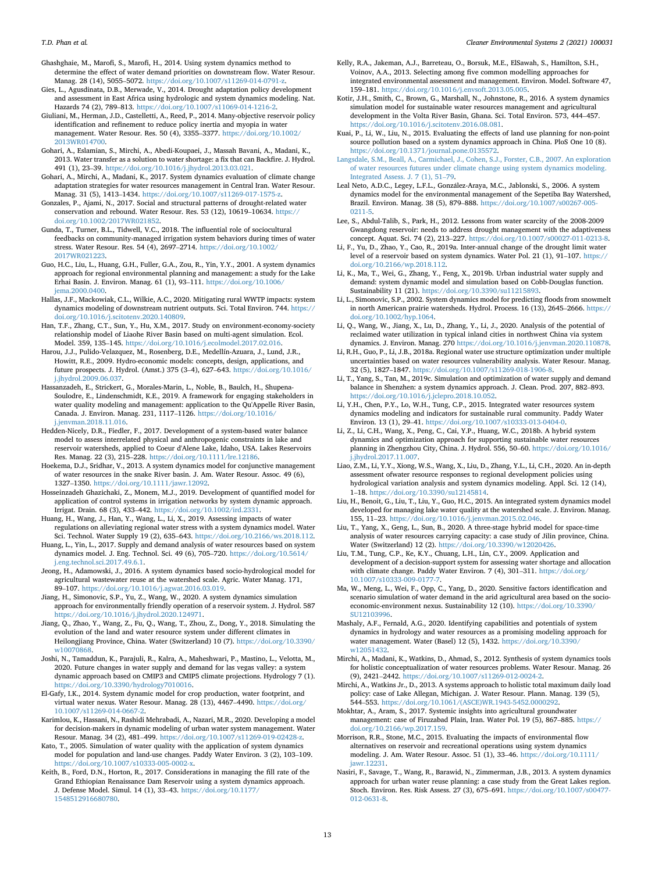<span id="page-12-23"></span>Ghashghaie, M., Marofi, S., Marofi, H., 2014. Using system dynamics method to determine the effect of water demand priorities on downstream flow. Water Resour. Manag. 28 (14), 5055–5072. <https://doi.org/10.1007/s11269-014-0791-z>.

- <span id="page-12-7"></span>Gies, L., Agusdinata, D.B., Merwade, V., 2014. Drought adaptation policy development and assessment in East Africa using hydrologic and system dynamics modeling. Nat. Hazards 74 (2), 789–813. [https://doi.org/10.1007/s11069-014-1216-2.](https://doi.org/10.1007/s11069-014-1216-2)
- <span id="page-12-10"></span>Giuliani, M., Herman, J.D., Castelletti, A., Reed, P., 2014. Many-objective reservoir policy identification and refinement to reduce policy inertia and myopia in water management. Water Resour. Res. 50 (4), 3355–3377. [https://doi.org/10.1002/](https://doi.org/10.1002/2013WR014700) [2013WR014700](https://doi.org/10.1002/2013WR014700).
- <span id="page-12-5"></span>Gohari, A., Eslamian, S., Mirchi, A., Abedi-Koupaei, J., Massah Bavani, A., Madani, K., 2013. Water transfer as a solution to water shortage: a fix that can Backfire. J. Hydrol. 491 (1), 23–39. [https://doi.org/10.1016/j.jhydrol.2013.03.021.](https://doi.org/10.1016/j.jhydrol.2013.03.021)
- <span id="page-12-4"></span>Gohari, A., Mirchi, A., Madani, K., 2017. System dynamics evaluation of climate change adaptation strategies for water resources management in Central Iran. Water Resour. Manag. 31 (5), 1413–1434. <https://doi.org/10.1007/s11269-017-1575-z>.
- <span id="page-12-25"></span>Gonzales, P., Ajami, N., 2017. Social and structural patterns of drought-related water conservation and rebound. Water Resour. Res. 53 (12), 10619–10634. [https://](https://doi.org/10.1002/2017WR021852) [doi.org/10.1002/2017WR021852.](https://doi.org/10.1002/2017WR021852)
- <span id="page-12-20"></span>Gunda, T., Turner, B.L., Tidwell, V.C., 2018. The influential role of sociocultural feedbacks on community-managed irrigation system behaviors during times of water stress. Water Resour. Res. 54 (4), 2697–2714. [https://doi.org/10.1002/](https://doi.org/10.1002/2017WR021223) [2017WR021223](https://doi.org/10.1002/2017WR021223).
- <span id="page-12-45"></span>Guo, H.C., Liu, L., Huang, G.H., Fuller, G.A., Zou, R., Yin, Y.Y., 2001. A system dynamics approach for regional environmental planning and management: a study for the Lake Erhai Basin. J. Environ. Manag. 61 (1), 93–111. [https://doi.org/10.1006/](https://doi.org/10.1006/jema.2000.0400) [jema.2000.0400](https://doi.org/10.1006/jema.2000.0400).
- <span id="page-12-27"></span>Hallas, J.F., Mackowiak, C.L., Wilkie, A.C., 2020. Mitigating rural WWTP impacts: system dynamics modeling of downstream nutrient outputs. Sci. Total Environ. 744. [https://](https://doi.org/10.1016/j.scitotenv.2020.140809) [doi.org/10.1016/j.scitotenv.2020.140809](https://doi.org/10.1016/j.scitotenv.2020.140809).
- <span id="page-12-1"></span>Han, T.F., Zhang, C.T., Sun, Y., Hu, X.M., 2017. Study on environment-economy-society relationship model of Liaohe River Basin based on multi-agent simulation. Ecol. Model. 359, 135–145. <https://doi.org/10.1016/j.ecolmodel.2017.02.016>.
- <span id="page-12-48"></span>Harou, J.J., Pulido-Velazquez, M., Rosenberg, D.E., Medellín-Azuara, J., Lund, J.R., Howitt, R.E., 2009. Hydro-economic models: concepts, design, applications, and future prospects. J. Hydrol. (Amst.) 375 (3–4), 627–643. [https://doi.org/10.1016/](https://doi.org/10.1016/j.jhydrol.2009.06.037) [j.jhydrol.2009.06.037.](https://doi.org/10.1016/j.jhydrol.2009.06.037)
- <span id="page-12-29"></span>Hassanzadeh, E., Strickert, G., Morales-Marin, L., Noble, B., Baulch, H., Shupena-Soulodre, E., Lindenschmidt, K.E., 2019. A framework for engaging stakeholders in water quality modeling and management: application to the Qu'Appelle River Basin, Canada. J. Environ. Manag. 231, 1117–1126. [https://doi.org/10.1016/](https://doi.org/10.1016/j.jenvman.2018.11.016) [j.jenvman.2018.11.016.](https://doi.org/10.1016/j.jenvman.2018.11.016)
- <span id="page-12-22"></span>Hedden-Nicely, D.R., Fiedler, F., 2017. Development of a system-based water balance model to assess interrelated physical and anthropogenic constraints in lake and reservoir watersheds, applied to Coeur d'Alene Lake, Idaho, USA. Lakes Reservoirs Res. Manag. 22 (3), 215–228. <https://doi.org/10.1111/lre.12186>.
- <span id="page-12-32"></span>Hoekema, D.J., Sridhar, V., 2013. A system dynamics model for conjunctive management of water resources in the snake River basin. J. Am. Water Resour. Assoc. 49 (6), <sup>1327</sup>–1350. [https://doi.org/10.1111/jawr.12092.](https://doi.org/10.1111/jawr.12092)
- <span id="page-12-18"></span>Hosseinzadeh Ghazichaki, Z., Monem, M.J., 2019. Development of quantified model for application of control systems in irrigation networks by system dynamic approach. Irrigat. Drain. 68 (3), 433–442. [https://doi.org/10.1002/ird.2331.](https://doi.org/10.1002/ird.2331)
- <span id="page-12-36"></span>Huang, H., Wang, J., Han, Y., Wang, L., Li, X., 2019. Assessing impacts of water regulations on alleviating regional water stress with a system dynamics model. Water Sci. Technol. Water Supply 19 (2), 635–643. [https://doi.org/10.2166/ws.2018.112.](https://doi.org/10.2166/ws.2018.112)
- <span id="page-12-41"></span>Huang, L., Yin, L., 2017. Supply and demand analysis of water resources based on system dynamics model. J. Eng. Technol. Sci. 49 (6), 705–720. [https://doi.org/10.5614/](https://doi.org/10.5614/j.eng.technol.sci.2017.49.6.1) [j.eng.technol.sci.2017.49.6.1](https://doi.org/10.5614/j.eng.technol.sci.2017.49.6.1).
- <span id="page-12-24"></span>Jeong, H., Adamowski, J., 2016. A system dynamics based socio-hydrological model for agricultural wastewater reuse at the watershed scale. Agric. Water Manag. 171, <sup>89</sup>–107. [https://doi.org/10.1016/j.agwat.2016.03.019.](https://doi.org/10.1016/j.agwat.2016.03.019)
- <span id="page-12-13"></span>Jiang, H., Simonovic, S.P., Yu, Z., Wang, W., 2020. A system dynamics simulation approach for environmentally friendly operation of a reservoir system. J. Hydrol. 587 <https://doi.org/10.1016/j.jhydrol.2020.124971>.
- <span id="page-12-46"></span>Jiang, Q., Zhao, Y., Wang, Z., Fu, Q., Wang, T., Zhou, Z., Dong, Y., 2018. Simulating the evolution of the land and water resource system under different climates in Heilongjiang Province, China. Water (Switzerland) 10 (7). [https://doi.org/10.3390/](https://doi.org/10.3390/w10070868) [w10070868](https://doi.org/10.3390/w10070868).
- <span id="page-12-38"></span>Joshi, N., Tamaddun, K., Parajuli, R., Kalra, A., Maheshwari, P., Mastino, L., Velotta, M., 2020. Future changes in water supply and demand for las vegas valley: a system dynamic approach based on CMIP3 and CMIP5 climate projections. Hydrology 7 (1). [https://doi.org/10.3390/hydrology7010016.](https://doi.org/10.3390/hydrology7010016)
- <span id="page-12-19"></span>El-Gafy, I.K., 2014. System dynamic model for crop production, water footprint, and virtual water nexus. Water Resour. Manag. 28 (13), 4467–4490. [https://doi.org/](https://doi.org/10.1007/s11269-014-0667-2) [10.1007/s11269-014-0667-2](https://doi.org/10.1007/s11269-014-0667-2).
- <span id="page-12-9"></span>Karimlou, K., Hassani, N., Rashidi Mehrabadi, A., Nazari, M.R., 2020. Developing a model for decision-makers in dynamic modeling of urban water system management. Water Resour. Manag. 34 (2), 481–499. [https://doi.org/10.1007/s11269-019-02428-z.](https://doi.org/10.1007/s11269-019-02428-z)
- <span id="page-12-30"></span>Kato, T., 2005. Simulation of water quality with the application of system dynamics model for population and land-use changes. Paddy Water Environ. 3 (2), 103–109. [https://doi.org/10.1007/s10333-005-0002-x.](https://doi.org/10.1007/s10333-005-0002-x)
- <span id="page-12-21"></span>Keith, B., Ford, D.N., Horton, R., 2017. Considerations in managing the fill rate of the Grand Ethiopian Renaissance Dam Reservoir using a system dynamics approach. J. Defense Model. Simul. 14 (1), 33–43. [https://doi.org/10.1177/](https://doi.org/10.1177/1548512916680780) [1548512916680780.](https://doi.org/10.1177/1548512916680780)
- <span id="page-12-49"></span>Kelly, R.A., Jakeman, A.J., Barreteau, O., Borsuk, M.E., ElSawah, S., Hamilton, S.H., Voinov, A.A., 2013. Selecting among five common modelling approaches for integrated environmental assessment and management. Environ. Model. Software 47, <sup>159</sup>–181. [https://doi.org/10.1016/j.envsoft.2013.05.005.](https://doi.org/10.1016/j.envsoft.2013.05.005)
- <span id="page-12-2"></span>Kotir, J.H., Smith, C., Brown, G., Marshall, N., Johnstone, R., 2016. A system dynamics simulation model for sustainable water resources management and agricultural development in the Volta River Basin, Ghana. Sci. Total Environ. 573, 444–457. <https://doi.org/10.1016/j.scitotenv.2016.08.081>.
- <span id="page-12-28"></span>Kuai, P., Li, W., Liu, N., 2015. Evaluating the effects of land use planning for non-point source pollution based on a system dynamics approach in China. PloS One 10 (8). <https://doi.org/10.1371/journal.pone.0135572>.
- <span id="page-12-0"></span>[Langsdale, S.M., Beall, A., Carmichael, J., Cohen, S.J., Forster, C.B., 2007. An exploration](http://refhub.elsevier.com/S2666-7894(21)00023-4/sref80) [of water resources futures under climate change using system dynamics modeling.](http://refhub.elsevier.com/S2666-7894(21)00023-4/sref80) [Integrated Assess. J. 7 \(1\), 51](http://refhub.elsevier.com/S2666-7894(21)00023-4/sref80)–[79](http://refhub.elsevier.com/S2666-7894(21)00023-4/sref80).
- <span id="page-12-14"></span>Leal Neto, A.D.C., Legey, L.F.L., Gonzalez-Araya, M.C., Jablonski, S., 2006. A system dynamics model for the environmental management of the Sepetiba Bay Watershed, Brazil. Environ. Manag. 38 (5), 879–888. [https://doi.org/10.1007/s00267-005-](https://doi.org/10.1007/s00267-005-0211-5) [0211-5.](https://doi.org/10.1007/s00267-005-0211-5)
- <span id="page-12-16"></span>Lee, S., Abdul-Talib, S., Park, H., 2012. Lessons from water scarcity of the 2008-2009 Gwangdong reservoir: needs to address drought management with the adaptiveness concept. Aquat. Sci. 74 (2), 213–227. <https://doi.org/10.1007/s00027-011-0213-8>.
- <span id="page-12-33"></span>Li, F., Yu, D., Zhao, Y., Cao, R., 2019a. Inter-annual change of the drought limit water level of a reservoir based on system dynamics. Water Pol. 21 (1), 91–107. [https://](https://doi.org/10.2166/wp.2018.112) [doi.org/10.2166/wp.2018.112](https://doi.org/10.2166/wp.2018.112).
- <span id="page-12-37"></span>Li, K., Ma, T., Wei, G., Zhang, Y., Feng, X., 2019b. Urban industrial water supply and demand: system dynamic model and simulation based on Cobb-Douglas function. Sustainability 11 (21). <https://doi.org/10.3390/su11215893>.
- <span id="page-12-17"></span>Li, L., Simonovic, S.P., 2002. System dynamics model for predicting floods from snowmelt in north American prairie watersheds. Hydrol. Process. 16 (13), 2645–2666. [https://](https://doi.org/10.1002/hyp.1064) [doi.org/10.1002/hyp.1064.](https://doi.org/10.1002/hyp.1064)
- <span id="page-12-40"></span>Li, Q., Wang, W., Jiang, X., Lu, D., Zhang, Y., Li, J., 2020. Analysis of the potential of reclaimed water utilization in typical inland cities in northwest China via system dynamics. J. Environ. Manag. 270 [https://doi.org/10.1016/j.jenvman.2020.110878.](https://doi.org/10.1016/j.jenvman.2020.110878)
- <span id="page-12-44"></span>Li, R.H., Guo, P., Li, J.B., 2018a. Regional water use structure optimization under multiple uncertainties based on water resources vulnerability analysis. Water Resour. Manag. 32 (5), 1827–1847. <https://doi.org/10.1007/s11269-018-1906-8>.
- <span id="page-12-42"></span>Li, T., Yang, S., Tan, M., 2019c. Simulation and optimization of water supply and demand balance in Shenzhen: a system dynamics approach. J. Clean. Prod. 207, 882–893.
- <span id="page-12-35"></span><https://doi.org/10.1016/j.jclepro.2018.10.052>. Li, Y.H., Chen, P.Y., Lo, W.H., Tung, C.P., 2015. Integrated water resources system dynamics modeling and indicators for sustainable rural community. Paddy Water Environ. 13 (1), 29–41. [https://doi.org/10.1007/s10333-013-0404-0.](https://doi.org/10.1007/s10333-013-0404-0)
- <span id="page-12-47"></span>Li, Z., Li, C.H., Wang, X., Peng, C., Cai, Y.P., Huang, W.C., 2018b. A hybrid system dynamics and optimization approach for supporting sustainable water resources planning in Zhengzhou City, China. J. Hydrol. 556, 50–60. [https://doi.org/10.1016/](https://doi.org/10.1016/j.jhydrol.2017.11.007) [j.jhydrol.2017.11.007.](https://doi.org/10.1016/j.jhydrol.2017.11.007)
- <span id="page-12-43"></span>Liao, Z.M., Li, Y.Y., Xiong, W.S., Wang, X., Liu, D., Zhang, Y.L., Li, C.H., 2020. An in-depth assessment ofwater resource responses to regional development policies using hydrological variation analysis and system dynamics modeling. Appl. Sci. 12 (14), <sup>1</sup>–18. [https://doi.org/10.3390/su12145814.](https://doi.org/10.3390/su12145814)
- <span id="page-12-31"></span>Liu, H., Benoit, G., Liu, T., Liu, Y., Guo, H.C., 2015. An integrated system dynamics model developed for managing lake water quality at the watershed scale. J. Environ. Manag. 155, 11–23. <https://doi.org/10.1016/j.jenvman.2015.02.046>.
- <span id="page-12-15"></span>Liu, T., Yang, X., Geng, L., Sun, B., 2020. A three-stage hybrid model for space-time analysis of water resources carrying capacity: a case study of Jilin province, China. Water (Switzerland) 12 (2). <https://doi.org/10.3390/w12020426>.
- <span id="page-12-8"></span>Liu, T.M., Tung, C.P., Ke, K.Y., Chuang, L.H., Lin, C.Y., 2009. Application and development of a decision-support system for assessing water shortage and allocation with climate change. Paddy Water Environ. 7 (4), 301–311. [https://doi.org/](https://doi.org/10.1007/s10333-009-0177-7) [10.1007/s10333-009-0177-7](https://doi.org/10.1007/s10333-009-0177-7).
- <span id="page-12-26"></span>Ma, W., Meng, L., Wei, F., Opp, C., Yang, D., 2020. Sensitive factors identification and scenario simulation of water demand in the arid agricultural area based on the socioeconomic-environment nexus. Sustainability 12 (10). [https://doi.org/10.3390/](https://doi.org/10.3390/SU12103996) [SU12103996](https://doi.org/10.3390/SU12103996).
- <span id="page-12-11"></span>Mashaly, A.F., Fernald, A.G., 2020. Identifying capabilities and potentials of system dynamics in hydrology and water resources as a promising modeling approach for water management. Water (Basel) 12 (5), 1432. [https://doi.org/10.3390/](https://doi.org/10.3390/w12051432) [w12051432](https://doi.org/10.3390/w12051432)
- <span id="page-12-3"></span>Mirchi, A., Madani, K., Watkins, D., Ahmad, S., 2012. Synthesis of system dynamics tools for holistic conceptualization of water resources problems. Water Resour. Manag. 26 (9), 2421–2442. <https://doi.org/10.1007/s11269-012-0024-2>.
- <span id="page-12-6"></span>Mirchi, A., Watkins Jr., D., 2013. A systems approach to holistic total maximum daily load policy: case of Lake Allegan, Michigan. J. Water Resour. Plann. Manag. 139 (5), <sup>544</sup>–553. [https://doi.org/10.1061/\(ASCE\)WR.1943-5452.0000292.](https://doi.org/10.1061/(ASCE)WR.1943-5452.0000292)

<span id="page-12-39"></span>Mokhtar, A., Aram, S., 2017. Systemic insights into agricultural groundwater management: case of Firuzabad Plain, Iran. Water Pol. 19 (5), 867–885. [https://](https://doi.org/10.2166/wp.2017.159) [doi.org/10.2166/wp.2017.159](https://doi.org/10.2166/wp.2017.159).

- <span id="page-12-12"></span>Morrison, R.R., Stone, M.C., 2015. Evaluating the impacts of environmental flow alternatives on reservoir and recreational operations using system dynamics modeling. J. Am. Water Resour. Assoc. 51 (1), 33–46. [https://doi.org/10.1111/](https://doi.org/10.1111/jawr.12231) [jawr.12231.](https://doi.org/10.1111/jawr.12231)
- <span id="page-12-34"></span>Nasiri, F., Savage, T., Wang, R., Barawid, N., Zimmerman, J.B., 2013. A system dynamics approach for urban water reuse planning: a case study from the Great Lakes region. Stoch. Environ. Res. Risk Assess. 27 (3), 675–691. [https://doi.org/10.1007/s00477-](https://doi.org/10.1007/s00477-012-0631-8) [012-0631-8](https://doi.org/10.1007/s00477-012-0631-8).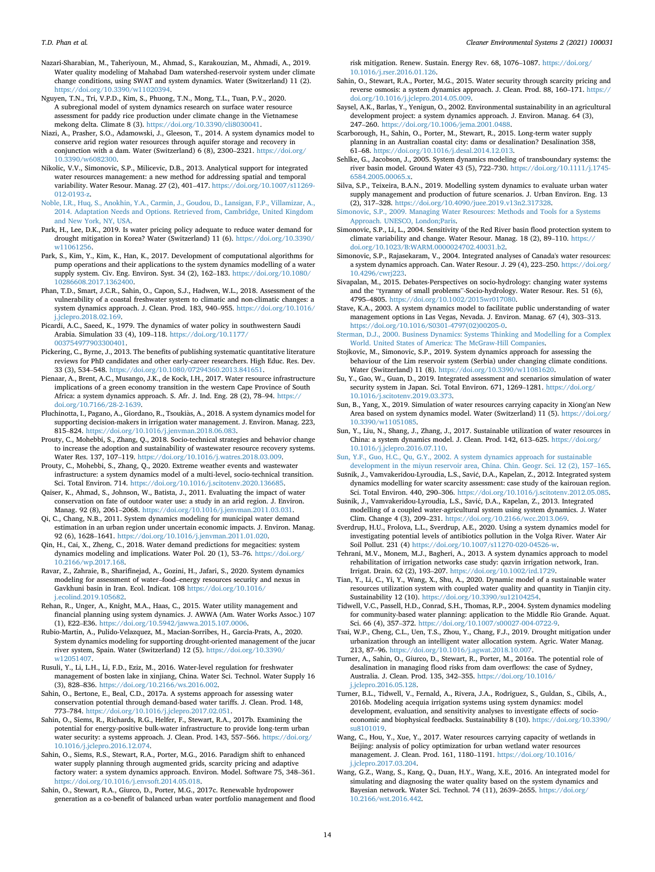<span id="page-13-27"></span>Nazari-Sharabian, M., Taheriyoun, M., Ahmad, S., Karakouzian, M., Ahmadi, A., 2019. Water quality modeling of Mahabad Dam watershed-reservoir system under climate change conditions, using SWAT and system dynamics. Water (Switzerland) 11 (2). [https://doi.org/10.3390/w11020394.](https://doi.org/10.3390/w11020394)

<span id="page-13-40"></span>Nguyen, T.N., Tri, V.P.D., Kim, S., Phuong, T.N., Mong, T.L., Tuan, P.V., 2020. A subregional model of system dynamics research on surface water resource assessment for paddy rice production under climate change in the Vietnamese mekong delta. Climate 8 (3). [https://doi.org/10.3390/cli8030041.](https://doi.org/10.3390/cli8030041)

<span id="page-13-34"></span>Niazi, A., Prasher, S.O., Adamowski, J., Gleeson, T., 2014. A system dynamics model to conserve arid region water resources through aquifer storage and recovery in conjunction with a dam. Water (Switzerland) 6 (8), 2300–2321. [https://doi.org/](https://doi.org/10.3390/w6082300) [10.3390/w6082300](https://doi.org/10.3390/w6082300).

<span id="page-13-45"></span>Nikolic, V.V., Simonovic, S.P., Milicevic, D.B., 2013. Analytical support for integrated water resources management: a new method for addressing spatial and temporal variability. Water Resour. Manag. 27 (2), 401–417. [https://doi.org/10.1007/s11269-](https://doi.org/10.1007/s11269-012-0193-z) [012-0193-z.](https://doi.org/10.1007/s11269-012-0193-z)

<span id="page-13-9"></span>[Noble, I.R., Huq, S., Anokhin, Y.A., Carmin, J., Goudou, D., Lansigan, F.P., Villamizar, A.,](http://refhub.elsevier.com/S2666-7894(21)00023-4/sref106) [2014. Adaptation Needs and Options. Retrieved from, Cambridge, United Kingdom](http://refhub.elsevier.com/S2666-7894(21)00023-4/sref106) [and New York, NY, USA.](http://refhub.elsevier.com/S2666-7894(21)00023-4/sref106)

<span id="page-13-24"></span>Park, H., Lee, D.K., 2019. Is water pricing policy adequate to reduce water demand for drought mitigation in Korea? Water (Switzerland) 11 (6). [https://doi.org/10.3390/](https://doi.org/10.3390/w11061256) [w11061256](https://doi.org/10.3390/w11061256).

<span id="page-13-12"></span>Park, S., Kim, Y., Kim, K., Han, K., 2017. Development of computational algorithms for pump operations and their applications to the system dynamics modelling of a water supply system. Civ. Eng. Environ. Syst. 34 (2), 162–183. [https://doi.org/10.1080/](https://doi.org/10.1080/10286608.2017.1362400) [10286608.2017.1362400](https://doi.org/10.1080/10286608.2017.1362400).

<span id="page-13-7"></span>Phan, T.D., Smart, J.C.R., Sahin, O., Capon, S.J., Hadwen, W.L., 2018. Assessment of the vulnerability of a coastal freshwater system to climatic and non-climatic changes: a system dynamics approach. J. Clean. Prod. 183, 940–955. [https://doi.org/10.1016/](https://doi.org/10.1016/j.jclepro.2018.02.169) [j.jclepro.2018.02.169.](https://doi.org/10.1016/j.jclepro.2018.02.169)

<span id="page-13-10"></span>Picardi, A.C., Saeed, K., 1979. The dynamics of water policy in southwestern Saudi Arabia. Simulation 33 (4), 109–118. [https://doi.org/10.1177/](https://doi.org/10.1177/003754977903300401) [003754977903300401](https://doi.org/10.1177/003754977903300401).

<span id="page-13-8"></span>Pickering, C., Byrne, J., 2013. The benefits of publishing systematic quantitative literature reviews for PhD candidates and other early-career researchers. High Educ. Res. Dev. 33 (3), 534–548. <https://doi.org/10.1080/07294360.2013.841651>.

<span id="page-13-44"></span>Pienaar, A., Brent, A.C., Musango, J.K., de Kock, I.H., 2017. Water resource infrastructure implications of a green economy transition in the western Cape Province of South Africa: a system dynamics approach. S. Afr. J. Ind. Eng. 28 (2), 78–94. [https://](https://doi.org/10.7166/28-2-1639) [doi.org/10.7166/28-2-1639](https://doi.org/10.7166/28-2-1639).

<span id="page-13-16"></span>Pluchinotta, I., Pagano, A., Giordano, R., Tsoukias, A., 2018. A system dynamics model for supporting decision-makers in irrigation water management. J. Environ. Manag. 223, <sup>815</sup>–824. [https://doi.org/10.1016/j.jenvman.2018.06.083.](https://doi.org/10.1016/j.jenvman.2018.06.083)

<span id="page-13-22"></span>Prouty, C., Mohebbi, S., Zhang, Q., 2018. Socio-technical strategies and behavior change to increase the adoption and sustainability of wastewater resource recovery systems. Water Res. 137, 107–119. <https://doi.org/10.1016/j.watres.2018.03.009>.

<span id="page-13-21"></span>Prouty, C., Mohebbi, S., Zhang, Q., 2020. Extreme weather events and wastewater infrastructure: a system dynamics model of a multi-level, socio-technical transition. Sci. Total Environ. 714. <https://doi.org/10.1016/j.scitotenv.2020.136685>.

<span id="page-13-35"></span>Qaiser, K., Ahmad, S., Johnson, W., Batista, J., 2011. Evaluating the impact of water conservation on fate of outdoor water use: a study in an arid region. J. Environ. Manag. 92 (8), 2061–2068. <https://doi.org/10.1016/j.jenvman.2011.03.031>.

<span id="page-13-23"></span>Qi, C., Chang, N.B., 2011. System dynamics modeling for municipal water demand estimation in an urban region under uncertain economic impacts. J. Environ. Manag. 92 (6), 1628–1641. <https://doi.org/10.1016/j.jenvman.2011.01.020>.

<span id="page-13-38"></span>Qin, H., Cai, X., Zheng, C., 2018. Water demand predictions for megacities: system dynamics modeling and implications. Water Pol. 20 (1), 53–76. [https://doi.org/](https://doi.org/10.2166/wp.2017.168) [10.2166/wp.2017.168](https://doi.org/10.2166/wp.2017.168).

<span id="page-13-30"></span>Ravar, Z., Zahraie, B., Sharifinejad, A., Gozini, H., Jafari, S., 2020. System dynamics modeling for assessment of water–food–energy resources security and nexus in Gavkhuni basin in Iran. Ecol. Indicat. 108 [https://doi.org/10.1016/](https://doi.org/10.1016/j.ecolind.2019.105682) [j.ecolind.2019.105682.](https://doi.org/10.1016/j.ecolind.2019.105682)

<span id="page-13-31"></span>Rehan, R., Unger, A., Knight, M.A., Haas, C., 2015. Water utility management and financial planning using system dynamics. J. AWWA (Am. Water Works Assoc.) 107 (1), E22–E36. [https://doi.org/10.5942/jawwa.2015.107.0006.](https://doi.org/10.5942/jawwa.2015.107.0006)

<span id="page-13-32"></span>Rubio-Martin, A., Pulido-Velazquez, M., Macian-Sorribes, H., Garcia-Prats, A., 2020. System dynamics modeling for supporting drought-oriented management of the jucar river system, Spain. Water (Switzerland) 12 (5). [https://doi.org/10.3390/](https://doi.org/10.3390/w12051407) [w12051407](https://doi.org/10.3390/w12051407)

<span id="page-13-29"></span>Rusuli, Y., Li, L.H., Li, F.D., Eziz, M., 2016. Water-level regulation for freshwater management of bosten lake in xinjiang, China. Water Sci. Technol. Water Supply 16 (3), 828–836. [https://doi.org/10.2166/ws.2016.002.](https://doi.org/10.2166/ws.2016.002)

<span id="page-13-25"></span>Sahin, O., Bertone, E., Beal, C.D., 2017a. A systems approach for assessing water conservation potential through demand-based water tariffs. J. Clean. Prod. 148, <sup>773</sup>–784. [https://doi.org/10.1016/j.jclepro.2017.02.051.](https://doi.org/10.1016/j.jclepro.2017.02.051)

<span id="page-13-37"></span>Sahin, O., Siems, R., Richards, R.G., Helfer, F., Stewart, R.A., 2017b. Examining the potential for energy-positive bulk-water infrastructure to provide long-term urban water security: a systems approach. J. Clean. Prod. 143, 557-566. [https://doi.org/](https://doi.org/10.1016/j.jclepro.2016.12.074) [10.1016/j.jclepro.2016.12.074](https://doi.org/10.1016/j.jclepro.2016.12.074).

<span id="page-13-42"></span>Sahin, O., Siems, R.S., Stewart, R.A., Porter, M.G., 2016. Paradigm shift to enhanced water supply planning through augmented grids, scarcity pricing and adaptive factory water: a system dynamics approach. Environ. Model. Software 75, 348–361. <https://doi.org/10.1016/j.envsoft.2014.05.018>.

<span id="page-13-33"></span>Sahin, O., Stewart, R.A., Giurco, D., Porter, M.G., 2017c. Renewable hydropower generation as a co-benefit of balanced urban water portfolio management and flood risk mitigation. Renew. Sustain. Energy Rev. 68, 1076–1087. [https://doi.org/](https://doi.org/10.1016/j.rser.2016.01.126) [10.1016/j.rser.2016.01.126.](https://doi.org/10.1016/j.rser.2016.01.126)

- <span id="page-13-6"></span>Sahin, O., Stewart, R.A., Porter, M.G., 2015. Water security through scarcity pricing and reverse osmosis: a system dynamics approach. J. Clean. Prod. 88, 160–171. [https://](https://doi.org/10.1016/j.jclepro.2014.05.009) [doi.org/10.1016/j.jclepro.2014.05.009](https://doi.org/10.1016/j.jclepro.2014.05.009).
- <span id="page-13-17"></span>Saysel, A.K., Barlas, Y., Yenigun, O., 2002. Environmental sustainability in an agricultural development project: a system dynamics approach. J. Environ. Manag. 64 (3), <sup>247</sup>–260. <https://doi.org/10.1006/jema.2001.0488>.

<span id="page-13-43"></span>Scarborough, H., Sahin, O., Porter, M., Stewart, R., 2015. Long-term water supply planning in an Australian coastal city: dams or desalination? Desalination 358, <sup>61</sup>–68. [https://doi.org/10.1016/j.desal.2014.12.013.](https://doi.org/10.1016/j.desal.2014.12.013)

<span id="page-13-28"></span>Sehlke, G., Jacobson, J., 2005. System dynamics modeling of transboundary systems: the river basin model. Ground Water 43 (5), 722–730. [https://doi.org/10.1111/j.1745-](https://doi.org/10.1111/j.1745-6584.2005.00065.x) [6584.2005.00065.x.](https://doi.org/10.1111/j.1745-6584.2005.00065.x)

<span id="page-13-39"></span>Silva, S.P., Teixeira, B.A.N., 2019. Modelling system dynamics to evaluate urban water supply management and production of future scenarios. J. Urban Environ. Eng. 13 (2), 317–328. <https://doi.org/10.4090/juee.2019.v13n2.317328>.

<span id="page-13-4"></span>[Simonovic, S.P., 2009. Managing Water Resources: Methods and Tools for a Systems](http://refhub.elsevier.com/S2666-7894(21)00023-4/sref132) [Approach. UNESCO, London;Paris](http://refhub.elsevier.com/S2666-7894(21)00023-4/sref132).

<span id="page-13-13"></span>Simonovic, S.P., Li, L., 2004. Sensitivity of the Red River basin flood protection system to climate variability and change. Water Resour. Manag. 18 (2), 89–110. [https://](https://doi.org/10.1023/B:WARM.0000024702.40031.b2) [doi.org/10.1023/B:WARM.0000024702.40031.b2.](https://doi.org/10.1023/B:WARM.0000024702.40031.b2)

<span id="page-13-46"></span>Simonovic, S.P., Rajasekaram, V., 2004. Integrated analyses of Canada's water resources: a system dynamics approach. Can. Water Resour. J. 29 (4), 223–250. [https://doi.org/](https://doi.org/10.4296/cwrj223) [10.4296/cwrj223.](https://doi.org/10.4296/cwrj223)

<span id="page-13-51"></span>Sivapalan, M., 2015. Debates-Perspectives on socio-hydrology: changing water systems and the "tyranny of small problems"-Socio-hydrology. Water Resour. Res. 51 (6), <sup>4795</sup>–4805. <https://doi.org/10.1002/2015wr017080>.

<span id="page-13-3"></span>Stave, K.A., 2003. A system dynamics model to facilitate public understanding of water management options in Las Vegas, Nevada. J. Environ. Manag. 67 (4), 303–313. [https://doi.org/10.1016/S0301-4797\(02\)00205-0](https://doi.org/10.1016/S0301-4797(02)00205-0).

<span id="page-13-5"></span>[Sterman, D.J., 2000. Business Dynamics: Systems Thinking and Modelling for a Complex](http://refhub.elsevier.com/S2666-7894(21)00023-4/sref137) [World. United States of America: The McGraw-Hill Companies](http://refhub.elsevier.com/S2666-7894(21)00023-4/sref137).

<span id="page-13-19"></span>Stojkovic, M., Simonovic, S.P., 2019. System dynamics approach for assessing the behaviour of the Lim reservoir system (Serbia) under changing climate conditions. Water (Switzerland) 11 (8). <https://doi.org/10.3390/w11081620>.

<span id="page-13-49"></span>Su, Y., Gao, W., Guan, D., 2019. Integrated assessment and scenarios simulation of water security system in Japan. Sci. Total Environ. 671, 1269-1281. [https://doi.org/](https://doi.org/10.1016/j.scitotenv.2019.03.373) [10.1016/j.scitotenv.2019.03.373](https://doi.org/10.1016/j.scitotenv.2019.03.373).

<span id="page-13-2"></span>Sun, B., Yang, X., 2019. Simulation of water resources carrying capacity in Xiong'an New Area based on system dynamics model. Water (Switzerland) 11 (5). [https://doi.org/](https://doi.org/10.3390/w11051085) [10.3390/w11051085.](https://doi.org/10.3390/w11051085)

<span id="page-13-47"></span>Sun, Y., Liu, N., Shang, J., Zhang, J., 2017. Sustainable utilization of water resources in China: a system dynamics model. J. Clean. Prod. 142, 613–625. [https://doi.org/](https://doi.org/10.1016/j.jclepro.2016.07.110) [10.1016/j.jclepro.2016.07.110](https://doi.org/10.1016/j.jclepro.2016.07.110).

<span id="page-13-20"></span>[Sun, Y.F., Guo, H.C., Qu, G.Y., 2002. A system dynamics approach for sustainable](http://refhub.elsevier.com/S2666-7894(21)00023-4/sref142) [development in the miyun reservoir area, China. Chin. Geogr. Sci. 12 \(2\), 157](http://refhub.elsevier.com/S2666-7894(21)00023-4/sref142)–[165.](http://refhub.elsevier.com/S2666-7894(21)00023-4/sref142)

<span id="page-13-36"></span>Susnik, J., Vamvakeridou-Lyroudia, L.S., Savic, D.A., Kapelan, Z., 2012. Integrated system dynamics modelling for water scarcity assessment: case study of the kairouan region. Sci. Total Environ. 440, 290–306. [https://doi.org/10.1016/j.scitotenv.2012.05.085.](https://doi.org/10.1016/j.scitotenv.2012.05.085)

<span id="page-13-1"></span>Susnik, J., Vamvakeridou-Lyroudia, L.S., Savic, D.A., Kapelan, Z., 2013. Integrated modelling of a coupled water-agricultural system using system dynamics. J. Water Clim. Change 4 (3), 209–231. [https://doi.org/10.2166/wcc.2013.069.](https://doi.org/10.2166/wcc.2013.069)

<span id="page-13-11"></span>Sverdrup, H.U., Frolova, L.L., Sverdrup, A.E., 2020. Using a system dynamics model for investigating potential levels of antibiotics pollution in the Volga River. Water Air Soil Pollut. 231 (4) [https://doi.org/10.1007/s11270-020-04526-w.](https://doi.org/10.1007/s11270-020-04526-w)

<span id="page-13-15"></span>Tehrani, M.V., Monem, M.J., Bagheri, A., 2013. A system dynamics approach to model rehabilitation of irrigation networks case study: qazvin irrigation network, Iran. Irrigat. Drain. 62 (2), 193–207. [https://doi.org/10.1002/ird.1729.](https://doi.org/10.1002/ird.1729)

<span id="page-13-50"></span>Tian, Y., Li, C., Yi, Y., Wang, X., Shu, A., 2020. Dynamic model of a sustainable water resources utilization system with coupled water quality and quantity in Tianjin city. Sustainability 12 (10). <https://doi.org/10.3390/su12104254>.

<span id="page-13-0"></span>Tidwell, V.C., Passell, H.D., Conrad, S.H., Thomas, R.P., 2004. System dynamics modeling for community-based water planning: application to the Middle Rio Grande. Aquat. Sci. 66 (4), 357–372. <https://doi.org/10.1007/s00027-004-0722-9>.

<span id="page-13-41"></span>Tsai, W.P., Cheng, C.L., Uen, T.S., Zhou, Y., Chang, F.J., 2019. Drought mitigation under urbanization through an intelligent water allocation system. Agric. Water Manag. 213, 87–96. [https://doi.org/10.1016/j.agwat.2018.10.007.](https://doi.org/10.1016/j.agwat.2018.10.007)

<span id="page-13-14"></span>Turner, A., Sahin, O., Giurco, D., Stewart, R., Porter, M., 2016a. The potential role of desalination in managing flood risks from dam overflows: the case of Sydney, Australia. J. Clean. Prod. 135, 342–355. [https://doi.org/10.1016/](https://doi.org/10.1016/j.jclepro.2016.05.128) [j.jclepro.2016.05.128.](https://doi.org/10.1016/j.jclepro.2016.05.128)

<span id="page-13-18"></span>Turner, B.L., Tidwell, V., Fernald, A., Rivera, J.A., Rodriguez, S., Guldan, S., Cibils, A., 2016b. Modeling acequia irrigation systems using system dynamics: model development, evaluation, and sensitivity analyses to investigate effects of socioeconomic and biophysical feedbacks. Sustainability 8 (10). [https://doi.org/10.3390/](https://doi.org/10.3390/su8101019) [su8101019.](https://doi.org/10.3390/su8101019)

<span id="page-13-48"></span>Wang, C., Hou, Y., Xue, Y., 2017. Water resources carrying capacity of wetlands in Beijing: analysis of policy optimization for urban wetland water resources management. J. Clean. Prod. 161, 1180–1191. [https://doi.org/10.1016/](https://doi.org/10.1016/j.jclepro.2017.03.204) [j.jclepro.2017.03.204.](https://doi.org/10.1016/j.jclepro.2017.03.204)

<span id="page-13-26"></span>Wang, G.Z., Wang, S., Kang, Q., Duan, H.Y., Wang, X.E., 2016. An integrated model for simulating and diagnosing the water quality based on the system dynamics and Bayesian network. Water Sci. Technol. 74 (11), 2639–2655. [https://doi.org/](https://doi.org/10.2166/wst.2016.442) [10.2166/wst.2016.442](https://doi.org/10.2166/wst.2016.442).